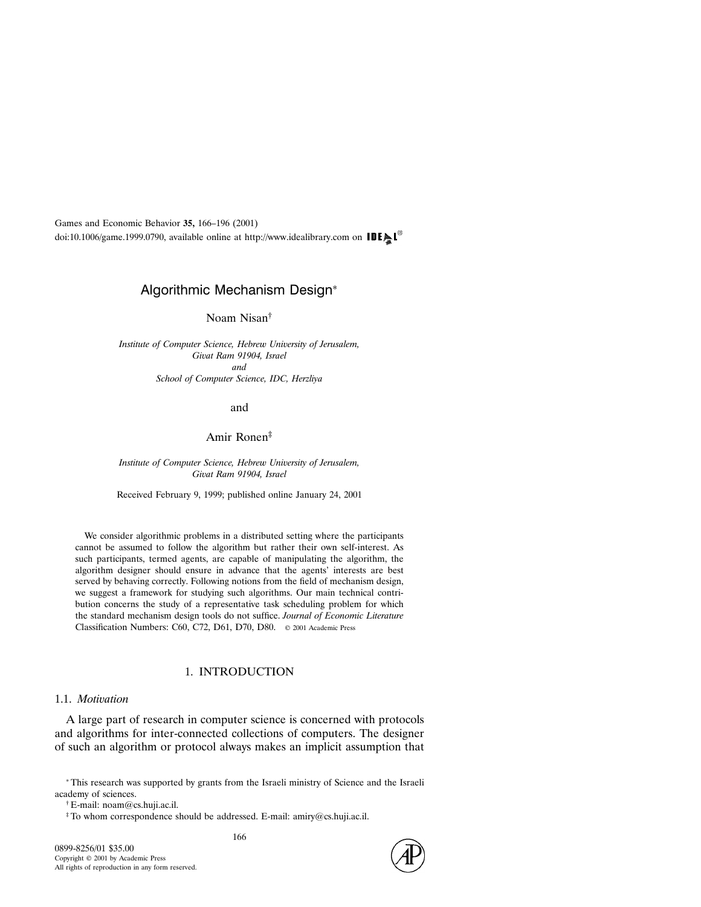# Algorithmic Mechanism Design<sup>∗</sup>

Noam Nisan†

Institute of Computer Science, Hebrew University of Jerusalem, Givat Ram 91904, Israel and School of Computer Science, IDC, Herzliya

and

# Amir Ronen‡

Institute of Computer Science, Hebrew University of Jerusalem, Givat Ram 91904, Israel

Received February 9, 1999; published online January 24, 2001

We consider algorithmic problems in a distributed setting where the participants cannot be assumed to follow the algorithm but rather their own self-interest. As such participants, termed agents, are capable of manipulating the algorithm, the algorithm designer should ensure in advance that the agents' interests are best served by behaving correctly. Following notions from the field of mechanism design, we suggest a framework for studying such algorithms. Our main technical contribution concerns the study of a representative task scheduling problem for which the standard mechanism design tools do not suffice. Journal of Economic Literature Classification Numbers: C60, C72, D61, D70, D80. © 2001 Academic Press

### 1. INTRODUCTION

#### 1.1. Motivation

A large part of research in computer science is concerned with protocols and algorithms for inter-connected collections of computers. The designer of such an algorithm or protocol always makes an implicit assumption that



<sup>∗</sup> This research was supported by grants from the Israeli ministry of Science and the Israeli academy of sciences.

<sup>†</sup> E-mail: noam@cs.huji.ac.il.

<sup>‡</sup> To whom correspondence should be addressed. E-mail: amiry@cs.huji.ac.il.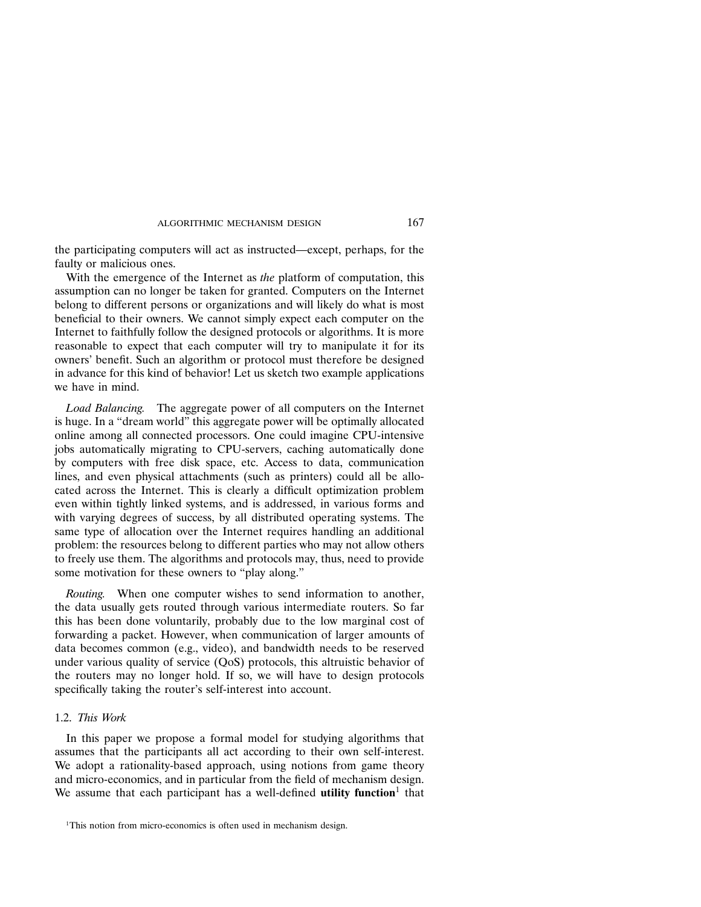the participating computers will act as instructed—except, perhaps, for the faulty or malicious ones.

With the emergence of the Internet as the platform of computation, this assumption can no longer be taken for granted. Computers on the Internet belong to different persons or organizations and will likely do what is most beneficial to their owners. We cannot simply expect each computer on the Internet to faithfully follow the designed protocols or algorithms. It is more reasonable to expect that each computer will try to manipulate it for its owners' benefit. Such an algorithm or protocol must therefore be designed in advance for this kind of behavior! Let us sketch two example applications we have in mind.

Load Balancing. The aggregate power of all computers on the Internet is huge. In a "dream world" this aggregate power will be optimally allocated online among all connected processors. One could imagine CPU-intensive jobs automatically migrating to CPU-servers, caching automatically done by computers with free disk space, etc. Access to data, communication lines, and even physical attachments (such as printers) could all be allocated across the Internet. This is clearly a difficult optimization problem even within tightly linked systems, and is addressed, in various forms and with varying degrees of success, by all distributed operating systems. The same type of allocation over the Internet requires handling an additional problem: the resources belong to different parties who may not allow others to freely use them. The algorithms and protocols may, thus, need to provide some motivation for these owners to "play along."

Routing. When one computer wishes to send information to another, the data usually gets routed through various intermediate routers. So far this has been done voluntarily, probably due to the low marginal cost of forwarding a packet. However, when communication of larger amounts of data becomes common (e.g., video), and bandwidth needs to be reserved under various quality of service (QoS) protocols, this altruistic behavior of the routers may no longer hold. If so, we will have to design protocols specifically taking the router's self-interest into account.

### 1.2. This Work

In this paper we propose a formal model for studying algorithms that assumes that the participants all act according to their own self-interest. We adopt a rationality-based approach, using notions from game theory and micro-economics, and in particular from the field of mechanism design. We assume that each participant has a well-defined utility function<sup>1</sup> that

 $1$ This notion from micro-economics is often used in mechanism design.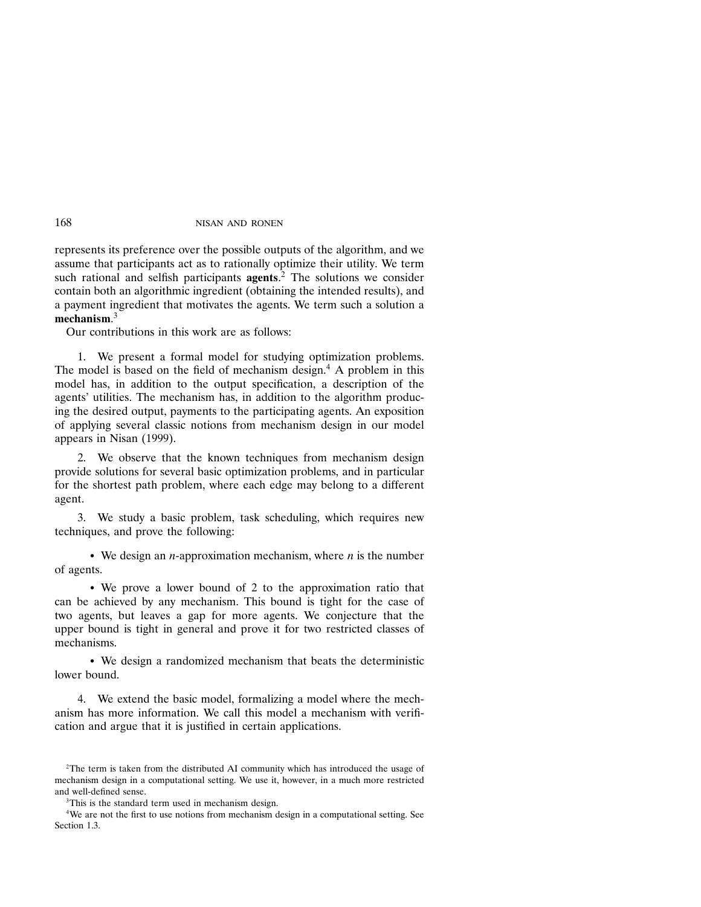represents its preference over the possible outputs of the algorithm, and we assume that participants act as to rationally optimize their utility. We term such rational and selfish participants **agents**.<sup>2</sup> The solutions we consider contain both an algorithmic ingredient (obtaining the intended results), and a payment ingredient that motivates the agents. We term such a solution a mechanism.<sup>3</sup>

Our contributions in this work are as follows:

1. We present a formal model for studying optimization problems. The model is based on the field of mechanism design.<sup>4</sup> A problem in this model has, in addition to the output specification, a description of the agents' utilities. The mechanism has, in addition to the algorithm producing the desired output, payments to the participating agents. An exposition of applying several classic notions from mechanism design in our model appears in Nisan (1999).

2. We observe that the known techniques from mechanism design provide solutions for several basic optimization problems, and in particular for the shortest path problem, where each edge may belong to a different agent.

3. We study a basic problem, task scheduling, which requires new techniques, and prove the following:

• We design an *n*-approximation mechanism, where  $n$  is the number of agents.

• We prove a lower bound of 2 to the approximation ratio that can be achieved by any mechanism. This bound is tight for the case of two agents, but leaves a gap for more agents. We conjecture that the upper bound is tight in general and prove it for two restricted classes of mechanisms.

• We design a randomized mechanism that beats the deterministic lower bound.

4. We extend the basic model, formalizing a model where the mechanism has more information. We call this model a mechanism with verification and argue that it is justified in certain applications.

<sup>2</sup>The term is taken from the distributed AI community which has introduced the usage of mechanism design in a computational setting. We use it, however, in a much more restricted and well-defined sense.

<sup>3</sup>This is the standard term used in mechanism design.

4We are not the first to use notions from mechanism design in a computational setting. See Section 1.3.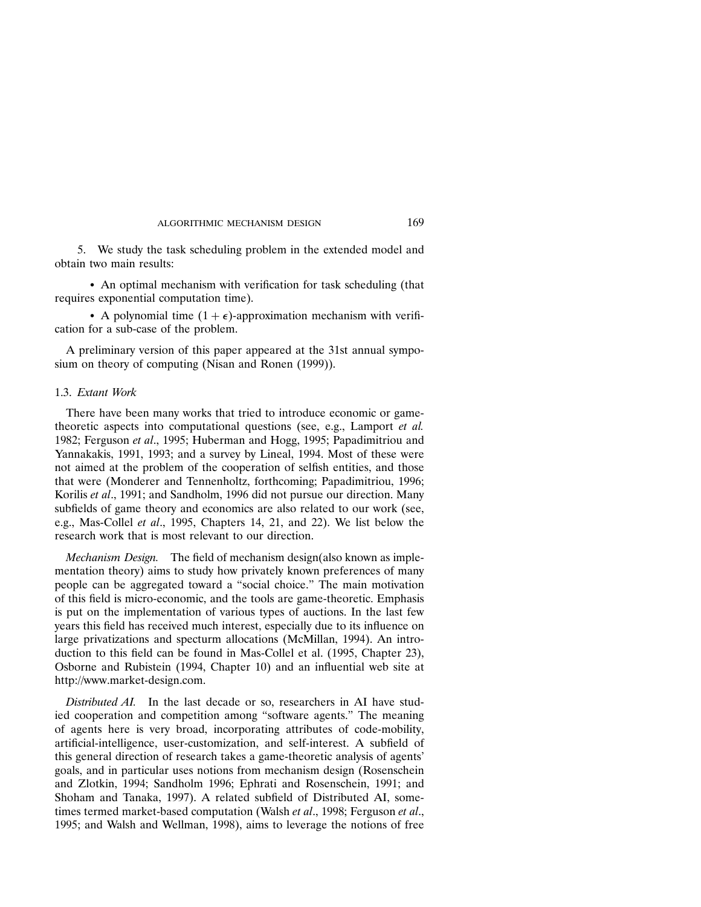5. We study the task scheduling problem in the extended model and obtain two main results:

• An optimal mechanism with verification for task scheduling (that requires exponential computation time).

• A polynomial time  $(1 + \epsilon)$ -approximation mechanism with verification for a sub-case of the problem.

A preliminary version of this paper appeared at the 31st annual symposium on theory of computing (Nisan and Ronen (1999)).

### 1.3. Extant Work

There have been many works that tried to introduce economic or gametheoretic aspects into computational questions (see, e.g., Lamport et al. 1982; Ferguson et al., 1995; Huberman and Hogg, 1995; Papadimitriou and Yannakakis, 1991, 1993; and a survey by Lineal, 1994. Mostof these were not aimed at the problem of the cooperation of selfish entities, and those that were (Monderer and Tennenholtz, forthcoming; Papadimitriou, 1996; Korilis et al., 1991; and Sandholm, 1996 did not pursue our direction. Many subfields of game theory and economics are also related to our work (see, e.g., Mas-Collel et al., 1995, Chapters 14, 21, and 22). We list below the research work that is most relevant to our direction.

Mechanism Design. The field of mechanism design(also known as implementation theory) aims to study how privately known preferences of many people can be aggregated toward a "social choice." The main motivation of this field is micro-economic, and the tools are game-theoretic. Emphasis is put on the implementation of various types of auctions. In the last few years this field has received much interest, especially due to its influence on large privatizations and specturm allocations (McMillan, 1994). An introduction to this field can be found in Mas-Collel et al. (1995, Chapter 23), Osborne and Rubistein (1994, Chapter 10) and an influential web site at http://www.market-design.com.

Distributed AI. In the last decade or so, researchers in AI have studied cooperation and competition among "software agents." The meaning of agents here is very broad, incorporating attributes of code-mobility, artificial-intelligence, user-customization, and self-interest. A subfield of this general direction of research takes a game-theoretic analysis of agents' goals, and in particular uses notions from mechanism design (Rosenschein and Zlotkin, 1994; Sandholm 1996; Ephrati and Rosenschein, 1991; and Shoham and Tanaka, 1997). A related subfield of Distributed AI, sometimes termed market-based computation (Walsh et al., 1998; Ferguson et al., 1995; and Walsh and Wellman, 1998), aims to leverage the notions of free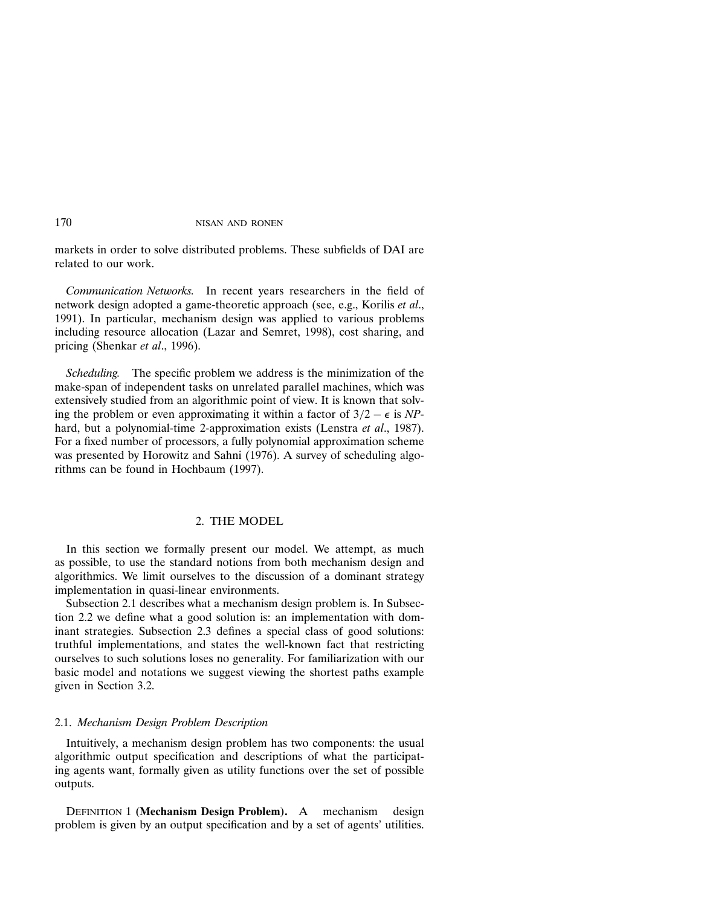markets in order to solve distributed problems. These subfields of DAI are related to our work.

Communication Networks. In recent years researchers in the field of network design adopted a game-theoretic approach (see, e.g., Korilis et al., 1991). In particular, mechanism design was applied to various problems including resource allocation (Lazar and Semret, 1998), cost sharing, and pricing (Shenkar et al., 1996).

Scheduling. The specific problem we address is the minimization of the make-span of independent tasks on unrelated parallel machines, which was extensively studied from an algorithmic point of view. It is known that solving the problem or even approximating it within a factor of  $3/2 - \epsilon$  is NPhard, but a polynomial-time 2-approximation exists (Lenstra et al., 1987). For a fixed number of processors, a fully polynomial approximation scheme was presented by Horowitz and Sahni (1976). A survey of scheduling algorithms can be found in Hochbaum (1997).

### 2. THE MODEL

In this section we formally present our model. We attempt, as much as possible, to use the standard notions from both mechanism design and algorithmics. We limit ourselves to the discussion of a dominant strategy implementation in quasi-linear environments.

Subsection 2.1 describes what a mechanism design problem is. In Subsection 2.2 we define what a good solution is: an implementation with dominant strategies. Subsection 2.3 defines a special class of good solutions: truthful implementations, and states the well-known fact that restricting ourselves to such solutions loses no generality. For familiarization with our basic model and notations we suggest viewing the shortest paths example given in Section 3.2.

### 2.1. Mechanism Design Problem Description

Intuitively, a mechanism design problem has two components: the usual algorithmic output specification and descriptions of what the participating agents want, formally given as utility functions over the set of possible outputs.

Definition 1 (Mechanism Design Problem). A mechanism design problem is given by an output specification and by a set of agents' utilities.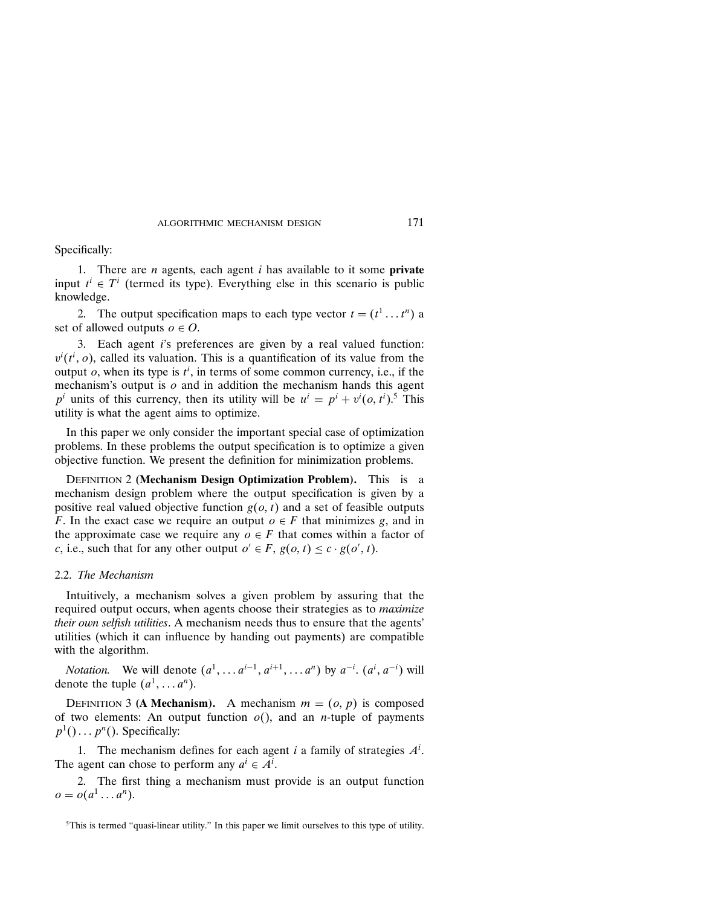Specifically:

1. There are *n* agents, each agent  $i$  has available to it some **private** input  $t^i \in T^i$  (termed its type). Everything else in this scenario is public knowledge.

2. The output specification maps to each type vector  $t = (t^1 \dots t^n)$  a set of allowed outputs  $o \in O$ .

3. Each agent i's preferences are given by a real valued function:  $v^{i}(t^{i}, o)$ , called its valuation. This is a quantification of its value from the output *o*, when its type is  $t^i$ , in terms of some common currency, i.e., if the mechanism's output is  $o$  and in addition the mechanism hands this agent  $p^i$  units of this currency, then its utility will be  $u^i = p^i + v^i(o, t^i)$ .<sup>5</sup> This utility is what the agent aims to optimize.

In this paper we only consider the important special case of optimization problems. In these problems the output specification is to optimize a given objective function. We present the definition for minimization problems.

DEFINITION 2 (Mechanism Design Optimization Problem). This is a mechanism design problem where the output specification is given by a positive real valued objective function  $g(o, t)$  and a set of feasible outputs F. In the exact case we require an output  $o \in F$  that minimizes g, and in the approximate case we require any  $o \in F$  that comes within a factor of c, i.e., such that for any other output  $o' \in F$ ,  $g(o, t) \le c \cdot g(o', t)$ .

### 2.2. The Mechanism

Intuitively, a mechanism solves a given problem by assuring that the required output occurs, when agents choose their strategies as to maximize their own selfish utilities. A mechanism needs thus to ensure that the agents' utilities (which it can influence by handing out payments) are compatible with the algorithm.

*Notation*. We will denote  $(a^1, \ldots a^{i-1}, a^{i+1}, \ldots a^n)$  by  $a^{-i}$ .  $(a^i, a^{-i})$  will denote the tuple  $(a^1, \ldots a^n)$ .

DEFINITION 3 (A Mechanism). A mechanism  $m = (o, p)$  is composed of two elements: An output function  $o($ ), and an *n*-tuple of payments  $p^1$ ()...  $p^n$ (). Specifically:

1. The mechanism defines for each agent  $i$  a family of strategies  $A<sup>i</sup>$ . The agent can chose to perform any  $a^i \in A^i$ .

2. The first thing a mechanism must provide is an output function  $o = o(a^1 \dots a^n).$ 

<sup>5</sup>This is termed "quasi-linear utility." In this paper we limit ourselves to this type of utility.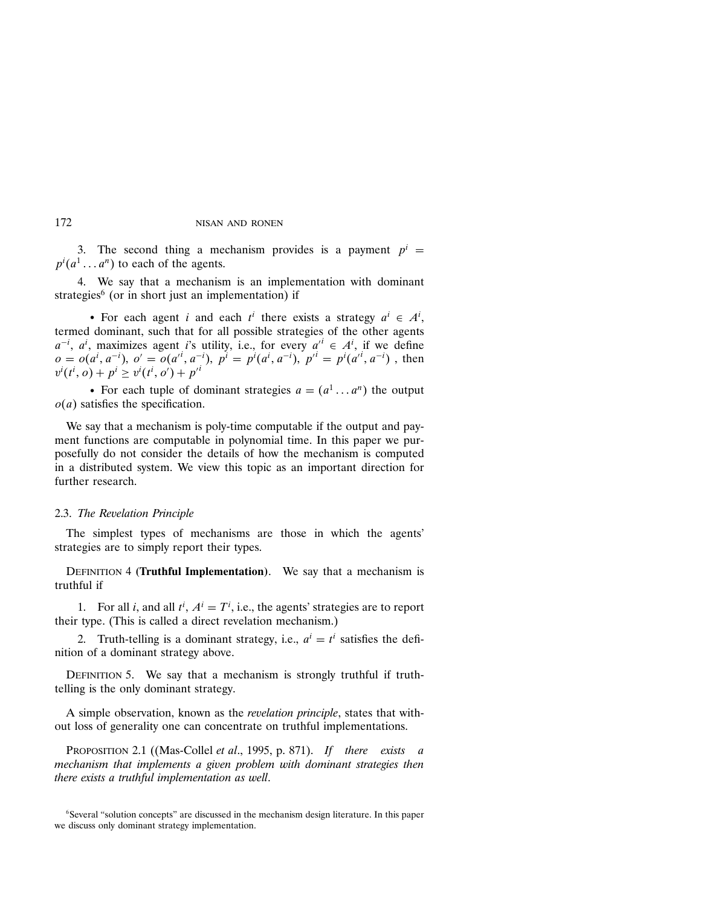3. The second thing a mechanism provides is a payment  $p^i =$  $p^i(a^1 \dots a^n)$  to each of the agents.

4. We say that a mechanism is an implementation with dominant strategies<sup>6</sup> (or in short just an implementation) if

• For each agent i and each  $t^i$  there exists a strategy  $a^i \in A^i$ , termed dominant, such that for all possible strategies of the other agents  $a^{-i}$ ,  $a^{i}$ , maximizes agent i's utility, i.e., for every  $a'^{i} \in A^{i}$ , if we define  $o = o(a^i, a^{-i}), o' = o(a'^i, a^{-i}), p^i = p^i(a^i, a^{-i}), p'^i = p^i(a'^i, a^{-i})$ , then  $v^{i}(t^{i}, o) + p^{i} \geq v^{i}(t^{i}, o') + p'^{i}$ 

• For each tuple of dominant strategies  $a = (a^1 \dots a^n)$  the output  $o(a)$  satisfies the specification.

We say that a mechanism is poly-time computable if the output and payment functions are computable in polynomial time. In this paper we purposefully do not consider the details of how the mechanism is computed in a distributed system. We view this topic as an important direction for further research.

### 2.3. The Revelation Principle

The simplest types of mechanisms are those in which the agents' strategies are to simply report their types.

DEFINITION 4 (Truthful Implementation). We say that a mechanism is truthful if

1. For all *i*, and all  $t^i$ ,  $A^i = T^i$ , i.e., the agents' strategies are to report their type. (This is called a direct revelation mechanism.)

2. Truth-telling is a dominant strategy, i.e.,  $a^{i} = t^{i}$  satisfies the definition of a dominant strategy above.

DEFINITION 5. We say that a mechanism is strongly truthful if truthtelling is the only dominant strategy.

A simple observation, known as the revelation principle, states that without loss of generality one can concentrate on truthful implementations.

PROPOSITION 2.1 ((Mas-Collel et al., 1995, p. 871). If there exists a mechanism that implements a given problem with dominant strategies then there exists a truthful implementation as well.

<sup>6</sup>Several "solution concepts" are discussed in the mechanism design literature. In this paper we discuss only dominant strategy implementation.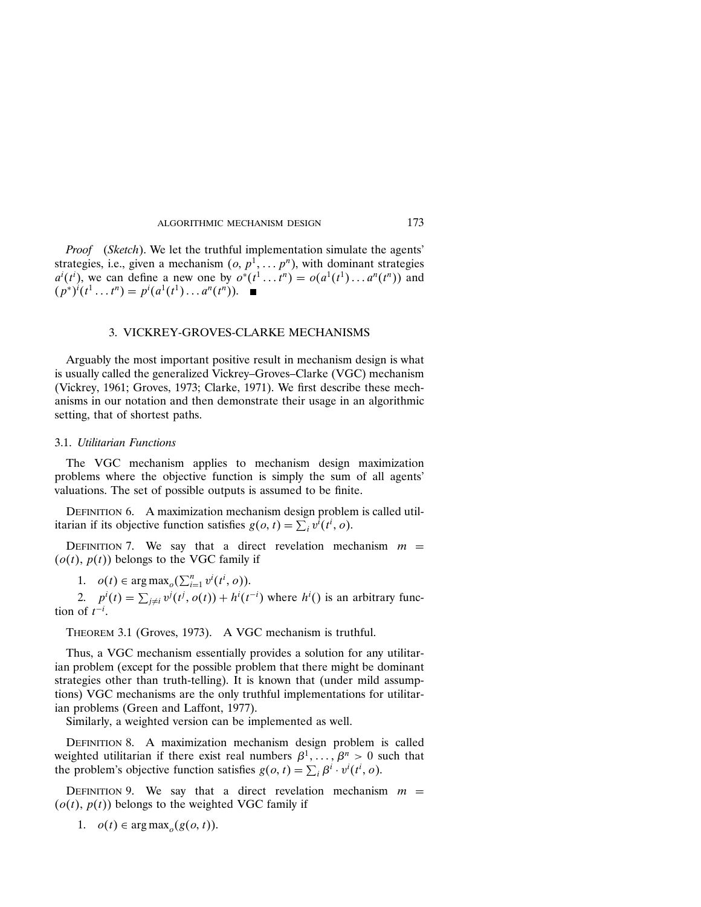Proof (Sketch). We let the truthful implementation simulate the agents' strategies, i.e., given a mechanism  $(o, p<sup>1</sup>, \ldots p<sup>n</sup>)$ , with dominant strategies  $a^i(t^i)$ , we can define a new one by  $o^*(t^1 \dots t^n) = o(a^1(t^1) \dots a^n(t^n))$  and  $(p^*)^i(t^1 \dots t^n) = p^i(a^1(t^1) \dots a^n(t^n)).$ 

### 3. VICKREY-GROVES-CLARKE MECHANISMS

Arguably the most important positive result in mechanism design is what is usually called the generalized Vickrey–Groves–Clarke (VGC) mechanism (Vickrey, 1961; Groves, 1973; Clarke, 1971). We first describe these mechanisms in our notation and then demonstrate their usage in an algorithmic setting, that of shortest paths.

#### 3.1. Utilitarian Functions

The VGC mechanism applies to mechanism design maximization problems where the objective function is simply the sum of all agents' valuations. The set of possible outputs is assumed to be finite.

DEFINITION 6. A maximization mechanism design problem is called utilitarian if its objective function satisfies  $g(o, t) = \sum_i v^i(t^i, o)$ .

DEFINITION 7. We say that a direct revelation mechanism  $m =$  $(o(t), p(t))$  belongs to the VGC family if

1.  $o(t) \in \arg \max_o(\sum_{i=1}^n v^i(t^i, o)).$ 

2.  $p_i^i(t) = \sum_{j \neq i} v^j(t^j, o(t)) + h^i(t^{-i})$  where  $h^i()$  is an arbitrary function of  $t^{-i}$ .

Theorem 3.1 (Groves, 1973). A VGC mechanism is truthful.

Thus, a VGC mechanism essentially provides a solution for any utilitarian problem (except for the possible problem that there might be dominant strategies other than truth-telling). It is known that (under mild assumptions) VGC mechanisms are the only truthful implementations for utilitarian problems (Green and Laffont, 1977).

Similarly, a weighted version can be implemented as well.

DEFINITION 8. A maximization mechanism design problem is called weighted utilitarian if there exist real numbers  $\beta^1, \ldots, \beta^n > 0$  such that the problem's objective function satisfies  $g(o, t) = \sum_i \beta^i \cdot v^i(t^i, o)$ .

DEFINITION 9. We say that a direct revelation mechanism  $m =$  $(o(t), p(t))$  belongs to the weighted VGC family if

1.  $o(t) \in \arg \max_o(g(o, t)).$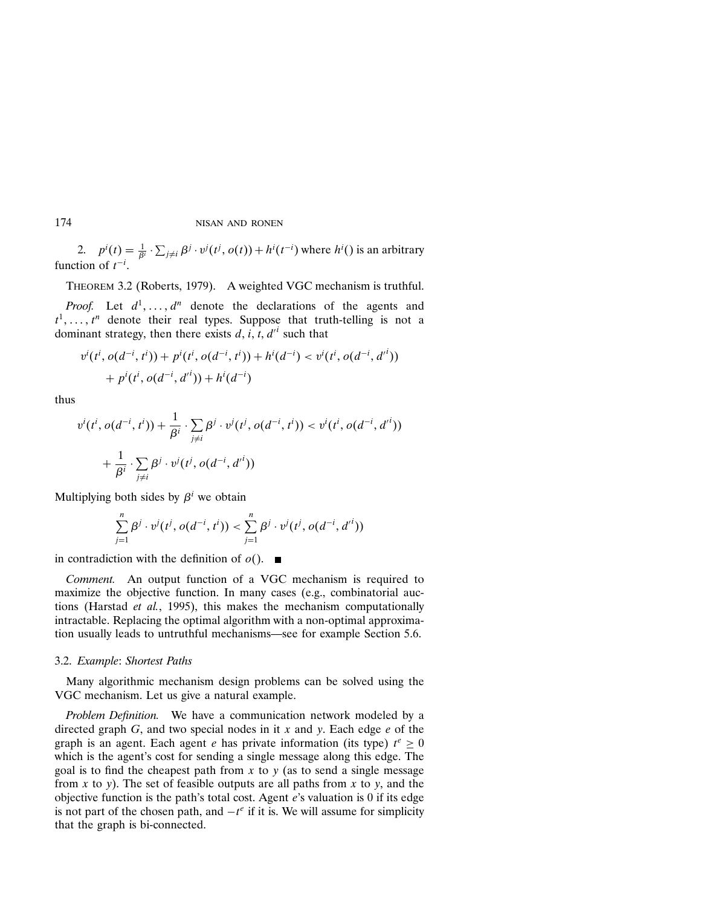2.  $p^{i}(t) = \frac{1}{\beta^{i}} \cdot \sum_{j \neq i} \beta^{j} \cdot v^{j}(t^{j}, o(t)) + h^{i}(t^{-i})$  where  $h^{i}(t)$  is an arbitrary function of  $t^{-i}$ .

Theorem 3.2 (Roberts, 1979). A weighted VGC mechanism is truthful.

*Proof.* Let  $d^1$ , ...,  $d^n$  denote the declarations of the agents and  $t^1, \ldots, t^n$  denote their real types. Suppose that truth-telling is not a dominant strategy, then there exists d, i, t,  $d^{i}$  such that

$$
v^{i}(t^{i}, o(d^{-i}, t^{i})) + p^{i}(t^{i}, o(d^{-i}, t^{i})) + h^{i}(d^{-i}) < v^{i}(t^{i}, o(d^{-i}, d'^{i})) + p^{i}(t^{i}, o(d^{-i}, d'^{i})) + h^{i}(d^{-i})
$$

thus

$$
v^{i}(t^{i}, o(d^{-i}, t^{i})) + \frac{1}{\beta^{i}} \cdot \sum_{j \neq i} \beta^{j} \cdot v^{j}(t^{j}, o(d^{-i}, t^{i})) < v^{i}(t^{i}, o(d^{-i}, d'^{i})) + \frac{1}{\beta^{i}} \cdot \sum_{j \neq i} \beta^{j} \cdot v^{j}(t^{j}, o(d^{-i}, d'^{i}))
$$

Multiplying both sides by  $\beta^{i}$  we obtain

$$
\sum_{j=1}^n \beta^j \cdot v^j(t^j, o(d^{-i}, t^i)) < \sum_{j=1}^n \beta^j \cdot v^j(t^j, o(d^{-i}, d'^i))
$$

in contradiction with the definition of  $o(.)$ .

Comment. An output function of a VGC mechanism is required to maximize the objective function. In many cases (e.g., combinatorial auctions (Harstad et al., 1995), this makes the mechanism computationally intractable. Replacing the optimal algorithm with a non-optimal approximation usually leads to untruthful mechanisms—see for example Section 5.6.

### 3.2. Example: Shortest Paths

Many algorithmic mechanism design problems can be solved using the VGC mechanism. Let us give a natural example.

Problem Definition. We have a communication network modeled by a directed graph  $G$ , and two special nodes in it x and y. Each edge  $e$  of the graph is an agent. Each agent e has private information (its type)  $t^e \ge 0$ which is the agent's cost for sending a single message along this edge. The goal is to find the cheapest path from  $x$  to  $y$  (as to send a single message from  $x$  to  $y$ ). The set of feasible outputs are all paths from  $x$  to  $y$ , and the objective function is the path's total cost. Agent  $e$ 's valuation is 0 if its edge is not part of the chosen path, and  $-t^e$  if it is. We will assume for simplicity that the graph is bi-connected.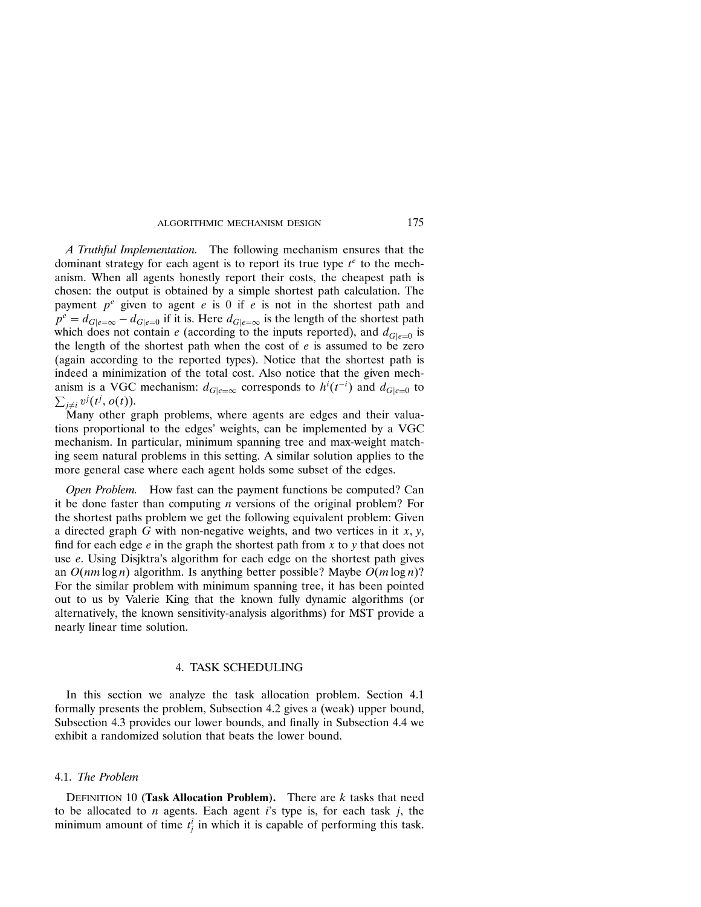A Truthful Implementation. The following mechanism ensures that the dominant strategy for each agent is to report its true type  $t<sup>e</sup>$  to the mechanism. When all agents honestly report their costs, the cheapest path is chosen: the output is obtained by a simple shortest path calculation. The payment  $p^e$  given to agent e is 0 if e is not in the shortest path and  $p^e = d_{G|e=\infty} - d_{G|e=0}$  if it is. Here  $d_{G|e=\infty}$  is the length of the shortest path which does not contain *e* (according to the inputs reported), and  $d_{G|e=0}$  is the length of the shortest path when the cost of  $e$  is assumed to be zero (again according to the reported types). Notice that the shortest path is indeed a minimization of the total cost. Also notice that the given mechanism is a VGC mechanism:  $d_{G|e=\infty}$  corresponds to  $h^{i}(t^{-i})$  and  $d_{G|e=0}$  to  $\sum_{j\neq i} v^j(t^j,o(t)).$ 

Many other graph problems, where agents are edges and their valuations proportional to the edges' weights, can be implemented by a VGC mechanism. In particular, minimum spanning tree and max-weight matching seem natural problems in this setting. A similar solution applies to the more general case where each agent holds some subset of the edges.

Open Problem. How fast can the payment functions be computed? Can it be done faster than computing *n* versions of the original problem? For the shortest paths problem we get the following equivalent problem: Given a directed graph  $\tilde{G}$  with non-negative weights, and two vertices in it x, y, find for each edge  $e$  in the graph the shortest path from  $x$  to  $y$  that does not use e. Using Disjktra's algorithm for each edge on the shortest path gives an  $O(nm \log n)$  algorithm. Is anything better possible? Maybe  $O(m \log n)$ ? For the similar problem with minimum spanning tree, it has been pointed out to us by Valerie King that the known fully dynamic algorithms (or alternatively, the known sensitivity-analysis algorithms) for MST provide a nearly linear time solution.

### 4. TASK SCHEDULING

In this section we analyze the task allocation problem. Section 4.1 formally presents the problem, Subsection 4.2 gives a (weak) upper bound, Subsection 4.3 provides our lower bounds, and finally in Subsection 4.4 we exhibit a randomized solution that beats the lower bound.

### 4.1. The Problem

DEFINITION 10 (Task Allocation Problem). There are  $k$  tasks that need to be allocated to  $n$  agents. Each agent  $i$ 's type is, for each task  $j$ , the minimum amount of time  $t_j^i$  in which it is capable of performing this task.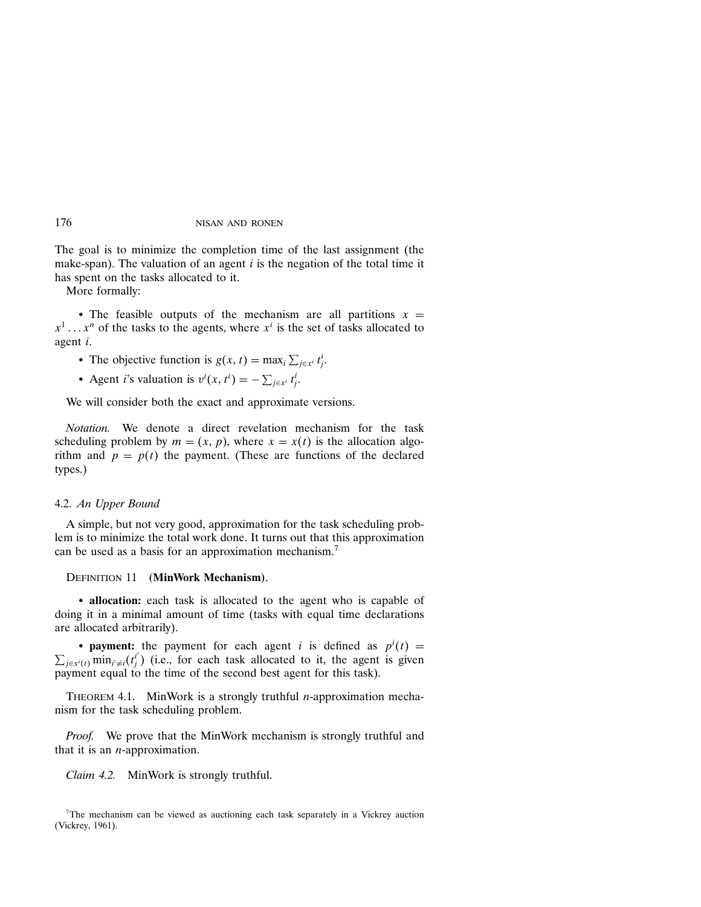The goal is to minimize the completion time of the last assignment (the make-span). The valuation of an agent  $i$  is the negation of the total time it has spent on the tasks allocated to it.

More formally:

• The feasible outputs of the mechanism are all partitions  $x =$  $x^1 \dots x^n$  of the tasks to the agents, where  $x^i$  is the set of tasks allocated to agent i.

- The objective function is  $g(x, t) = \max_i \sum_{j \in x^i} t^i_j$ .
- Agent *i*'s valuation is  $v^i(x, t^i) = -\sum_{j \in x^i} t^i_j$ .

We will consider both the exact and approximate versions.

Notation. We denote a direct revelation mechanism for the task scheduling problem by  $m = (x, p)$ , where  $x = x(t)$  is the allocation algorithm and  $p = p(t)$  the payment. (These are functions of the declared types.)

# 4.2. An Upper Bound

A simple, but not very good, approximation for the task scheduling problem is to minimize the total work done. It turns out that this approximation can be used as a basis for an approximation mechanism.<sup>7</sup>

DEFINITION 11 (MinWork Mechanism).

• allocation: each task is allocated to the agent who is capable of doing it in a minimal amount of time (tasks with equal time declarations are allocated arbitrarily).

• payment: the payment for each agent i is defined as  $p^{i}(t)$  =  $\sum_{j \in x^{i}(t)} \min_{i' \neq i} (t_j^{i'})$  (i.e., for each task allocated to it, the agent is given payment equal to the time of the second best agent for this task).

THEOREM 4.1. MinWork is a strongly truthful *n*-approximation mechanism for the task scheduling problem.

Proof. We prove that the MinWork mechanism is strongly truthful and that it is an  $n$ -approximation.

Claim 4.2. MinWork is strongly truthful.

7The mechanism can be viewed as auctioning each task separately in a Vickrey auction (Vickrey, 1961).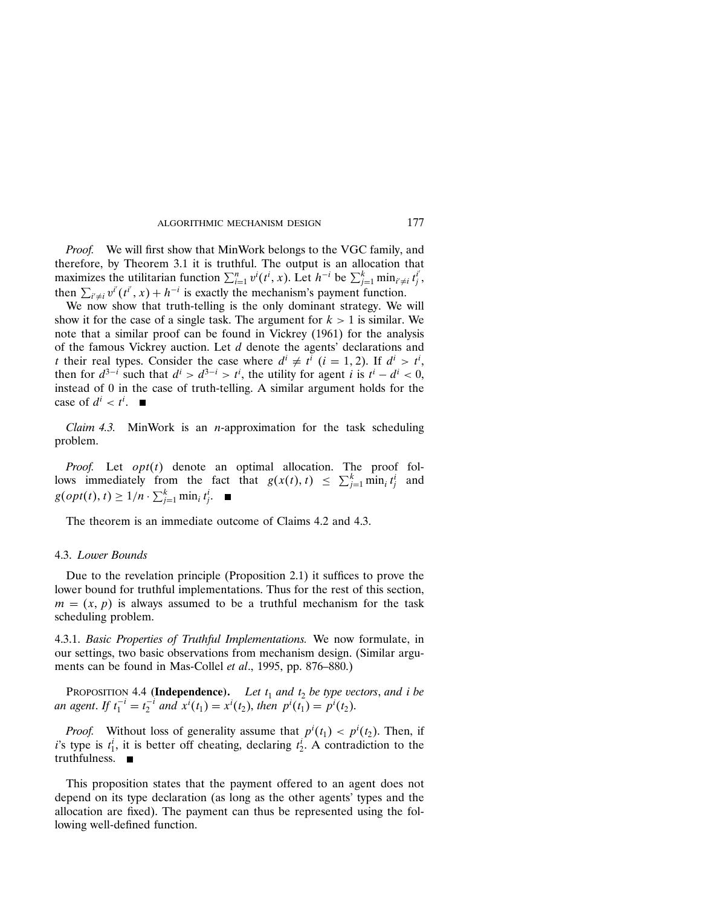Proof. We will first show that MinWork belongs to the VGC family, and therefore, by Theorem 3.1 it is truthful. The output is an allocation that maximizes the utilitarian function  $\sum_{i=1}^{n} v^{i}(t^{i}, x)$ . Let  $h^{-i}$  be  $\sum_{j=1}^{k} \min_{i' \neq i} t_{j}^{i'}$ , then  $\sum_{i' \neq i} v^{i'}(t^{i'}, x) + h^{-i}$  is exactly the mechanism's payment function.

We now show that truth-telling is the only dominant strategy. We will show it for the case of a single task. The argument for  $k > 1$  is similar. We note that a similar proof can be found in Vickrey (1961) for the analysis of the famous Vickrey auction. Let d denote the agents' declarations and t their real types. Consider the case where  $d^i \neq t^i$  ( $i = 1, 2$ ). If  $d^i > t^i$ , then for  $d^{3-i}$  such that  $d^i > d^{3-i} > t^i$ , the utility for agent i is  $t^i - d^i < 0$ , instead of 0 in the case of truth-telling. A similar argument holds for the case of  $d^i < t^i$ .

*Claim 4.3.* MinWork is an *n*-approximation for the task scheduling problem.

*Proof.* Let  $opt(t)$  denote an optimal allocation. The proof follows immediately from the fact that  $g(x(t), t) \leq \sum_{j=1}^{k} \min_i t_j^i$  and  $g(\text{opt}(t), t) \geq 1/n \cdot \sum_{j=1}^{k} \min_i t_j^i$ .

The theorem is an immediate outcome of Claims 4.2 and 4.3.

### 4.3. Lower Bounds

Due to the revelation principle (Proposition 2.1) it suffices to prove the lower bound for truthful implementations. Thus for the rest of this section,  $m = (x, p)$  is always assumed to be a truthful mechanism for the task scheduling problem.

4.3.1. Basic Properties of Truthful Implementations. We now formulate, in our settings, two basic observations from mechanism design. (Similar arguments can be found in Mas-Collel et al., 1995, pp. 876–880.)

PROPOSITION 4.4 (Independence). Let  $t_1$  and  $t_2$  be type vectors, and i be an agent. If  $t_1^{-i} = t_2^{-i}$  and  $x^i(t_1) = x^i(t_2)$ , then  $p^i(t_1) = p^i(t_2)$ .

*Proof.* Without loss of generality assume that  $p^{i}(t_1) < p^{i}(t_2)$ . Then, if i's type is  $t_1^i$ , it is better off cheating, declaring  $t_2^i$ . A contradiction to the truthfulness. ■

This proposition states that the payment offered to an agent does not depend on its type declaration (as long as the other agents' types and the allocation are fixed). The payment can thus be represented using the following well-defined function.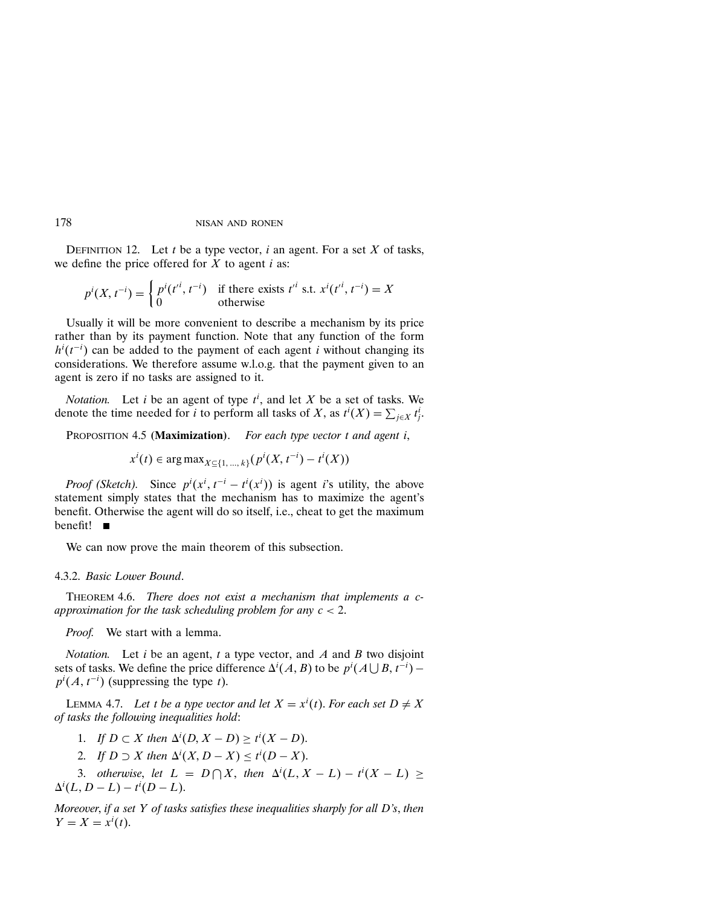DEFINITION 12. Let t be a type vector, i an agent. For a set  $X$  of tasks, we define the price offered for  $X$  to agent  $i$  as:

$$
p^{i}(X, t^{-i}) = \begin{cases} p^{i}(t^{i}, t^{-i}) & \text{if there exists } t^{i} \text{ s.t. } x^{i}(t^{i}, t^{-i}) = X\\ 0 & \text{otherwise} \end{cases}
$$

Usually it will be more convenient to describe a mechanism by its price rather than by its payment function. Note that any function of the form  $h^{i}(t^{-i})$  can be added to the payment of each agent *i* without changing its considerations. We therefore assume w.l.o.g. that the payment given to an agent is zero if no tasks are assigned to it.

*Notation*. Let *i* be an agent of type  $t^i$ , and let X be a set of tasks. We denote the time needed for *i* to perform all tasks of X, as  $t^i(X) = \sum_{j \in X} t_j^i$ .

PROPOSITION 4.5 (Maximization). For each type vector  $t$  and agent i,

 $x^{i}(t) \in \arg \max_{X \subseteq \{1, ..., k\}} (p^{i}(X, t^{-i}) - t^{i}(X))$ 

*Proof (Sketch).* Since  $p^i(x^i, t^{-i} - t^i(x^i))$  is agent *i*'s utility, the above statement simply states that the mechanism has to maximize the agent's benefit. Otherwise the agent will do so itself, i.e., cheat to get the maximum benefit!

We can now prove the main theorem of this subsection.

### 4.3.2. Basic Lower Bound.

THEOREM 4.6. There does not exist a mechanism that implements a capproximation for the task scheduling problem for any  $c < 2$ .

Proof. We start with a lemma.

*Notation.* Let *i* be an agent, *t* a type vector, and *A* and *B* two disjoint sets of tasks. We define the price difference  $\Delta^{i}(A, B)$  to be  $p^{i}(A \cup B, t^{-i})$  –  $p^{i}(A, t^{-i})$  (suppressing the type t).

LEMMA 4.7. Let t be a type vector and let  $X = x^{i}(t)$ . For each set  $D \neq X$ of tasks the following inequalities hold:

1. If  $D \subset X$  then  $\Delta^i(D, X - D) \geq t^i(X - D)$ .

2. If  $D \supset X$  then  $\Delta^{i}(X, D - X) \leq t^{i}(D - X)$ .

3. otherwise, let  $L = D \bigcap X$ , then  $\Delta^{i}(L, X - L) - t^{i}(X - L) \geq$  $\Delta^{i}(L, D - L) - t^{i}(D - L).$ 

Moreover, if a set Y of tasks satisfies these inequalities sharply for all  $D$ 's, then  $Y = X = x^{i}(t).$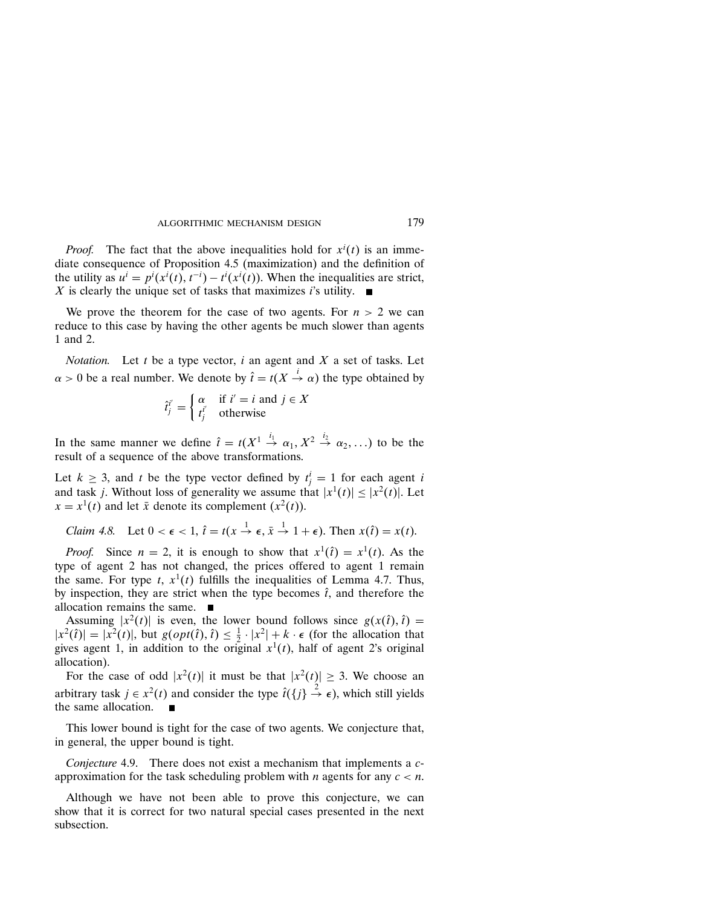*Proof.* The fact that the above inequalities hold for  $x^i(t)$  is an immediate consequence of Proposition 4.5 (maximization) and the definition of the utility as  $u^i = p^i(x^i(t), t^{-i}) - t^i(x^i(t))$ . When the inequalities are strict,  $X$  is clearly the unique set of tasks that maximizes *i*'s utility.

We prove the theorem for the case of two agents. For  $n > 2$  we can reduce to this case by having the other agents be much slower than agents 1 and 2.

*Notation.* Let t be a type vector, i an agent and  $X$  a set of tasks. Let  $\alpha > 0$  be a real number. We denote by  $\hat{t} = t(X \stackrel{i}{\rightarrow} \alpha)$  the type obtained by

$$
\hat{t}_j^{i'} = \begin{cases} \alpha & \text{if } i' = i \text{ and } j \in X \\ t_j^{i'} & \text{otherwise} \end{cases}
$$

In the same manner we define  $\hat{t} = t(X^1 \stackrel{i_1}{\to} \alpha_1, X^2 \stackrel{i_2}{\to} \alpha_2, ...)$  to be the result of a sequence of the above transformations.

Let  $k \geq 3$ , and t be the type vector defined by  $t_j^i = 1$  for each agent i and task *j*. Without loss of generality we assume that  $|x^1(t)| \le |x^2(t)|$ . Let  $x = x^1(t)$  and let  $\bar{x}$  denote its complement  $(x^2(t))$ .

Claim 4.8. Let 
$$
0 < \epsilon < 1
$$
,  $\hat{t} = t(x \stackrel{1}{\rightarrow} \epsilon, \bar{x} \stackrel{1}{\rightarrow} 1 + \epsilon)$ . Then  $x(\hat{t}) = x(t)$ .

*Proof.* Since  $n = 2$ , it is enough to show that  $x^1(\hat{t}) = x^1(t)$ . As the type of agent 2 has not changed, the prices offered to agent 1 remain the same. For type t,  $x^1(t)$  fulfills the inequalities of Lemma 4.7. Thus, by inspection, they are strict when the type becomes  $\hat{t}$ , and therefore the allocation remains the same.

Assuming  $|x^2(t)|$  is even, the lower bound follows since  $g(x(\hat{t}), \hat{t}) =$  $|x^2(\hat{t})| = |x^2(t)|$ , but  $g(\text{opt}(\hat{t}), \hat{t}) \leq \frac{1}{2} \cdot |x^2| + k \cdot \epsilon$  (for the allocation that gives agent 1, in addition to the original  $x^1(t)$ , half of agent 2's original allocation).

For the case of odd  $|x^2(t)|$  it must be that  $|x^2(t)| \ge 3$ . We choose an arbitrary task  $j \in x^2(t)$  and consider the type  $\hat{t}(\{j\} \stackrel{2}{\to} \epsilon)$ , which still yields the same allocation.

This lower bound is tight for the case of two agents. We conjecture that, in general, the upper bound is tight.

Conjecture 4.9. There does not exist a mechanism that implements a  $c$ approximation for the task scheduling problem with *n* agents for any  $c < n$ .

Although we have not been able to prove this conjecture, we can show that it is correct for two natural special cases presented in the next subsection.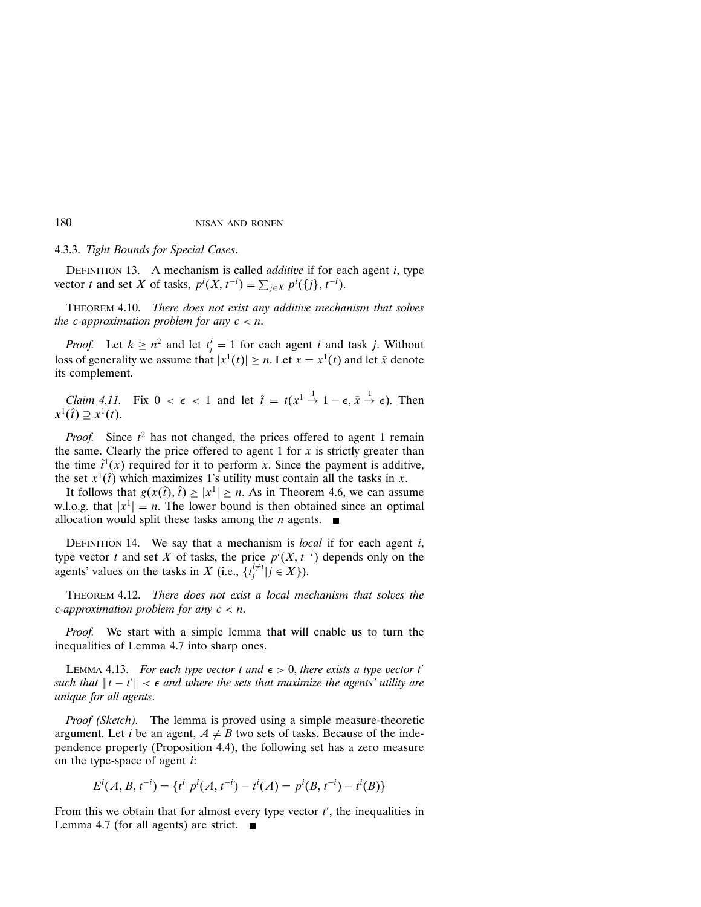4.3.3. Tight Bounds for Special Cases.

DEFINITION 13. A mechanism is called *additive* if for each agent  $i$ , type vector t and set X of tasks,  $p^{i}(X, t^{-i}) = \sum_{j \in X} p^{i}(\{j\}, t^{-i})$ .

Theorem 4.10. There does not exist any additive mechanism that solves the c-approximation problem for any  $c < n$ .

*Proof.* Let  $k \ge n^2$  and let  $t_j^i = 1$  for each agent i and task j. Without loss of generality we assume that  $|x^1(t)| \ge n$ . Let  $x = x^1(t)$  and let  $\bar{x}$  denote its complement.

*Claim 4.11.* Fix  $0 < \epsilon < 1$  and let  $\hat{t} = t(x^1 + 1 - \epsilon, \bar{x} \rightarrow \epsilon)$ . Then  $x^1(\hat{t}) \supseteq x^1(t).$ 

*Proof.* Since  $t^2$  has not changed, the prices offered to agent 1 remain the same. Clearly the price offered to agent 1 for  $x$  is strictly greater than the time  $\hat{i}^1(x)$  required for it to perform x. Since the payment is additive, the set  $x^1(\hat{t})$  which maximizes 1's utility must contain all the tasks in x.

It follows that  $g(x(\hat{t}), \hat{t}) \ge |x^1| \ge n$ . As in Theorem 4.6, we can assume w.l.o.g. that  $|x^1|=n$ . The lower bound is then obtained since an optimal allocation would split these tasks among the  $n$  agents.

DEFINITION 14. We say that a mechanism is *local* if for each agent  $i$ , type vector t and set X of tasks, the price  $p^{i}(X, t^{-i})$  depends only on the agents' values on the tasks in X (i.e.,  $\{t_j^{l \neq i} | j \in X\}$ ).

Theorem 4.12. There does not exist a local mechanism that solves the c-approximation problem for any  $c < n$ .

Proof. We start with a simple lemma that will enable us to turn the inequalities of Lemma 4.7 into sharp ones.

LEMMA 4.13. For each type vector t and  $\epsilon > 0$ , there exists a type vector t' such that  $\|t - t'\| < \epsilon$  and where the sets that maximize the agents' utility are unique for all agents.

Proof (Sketch). The lemma is proved using a simple measure-theoretic argument. Let *i* be an agent,  $A \neq B$  two sets of tasks. Because of the independence property (Proposition 4.4), the following set has a zero measure on the type-space of agent i:

$$
E^{i}(A, B, t^{-i}) = \{t^{i} | p^{i}(A, t^{-i}) - t^{i}(A) = p^{i}(B, t^{-i}) - t^{i}(B)\}
$$

From this we obtain that for almost every type vector  $t'$ , the inequalities in Lemma 4.7 (for all agents) are strict.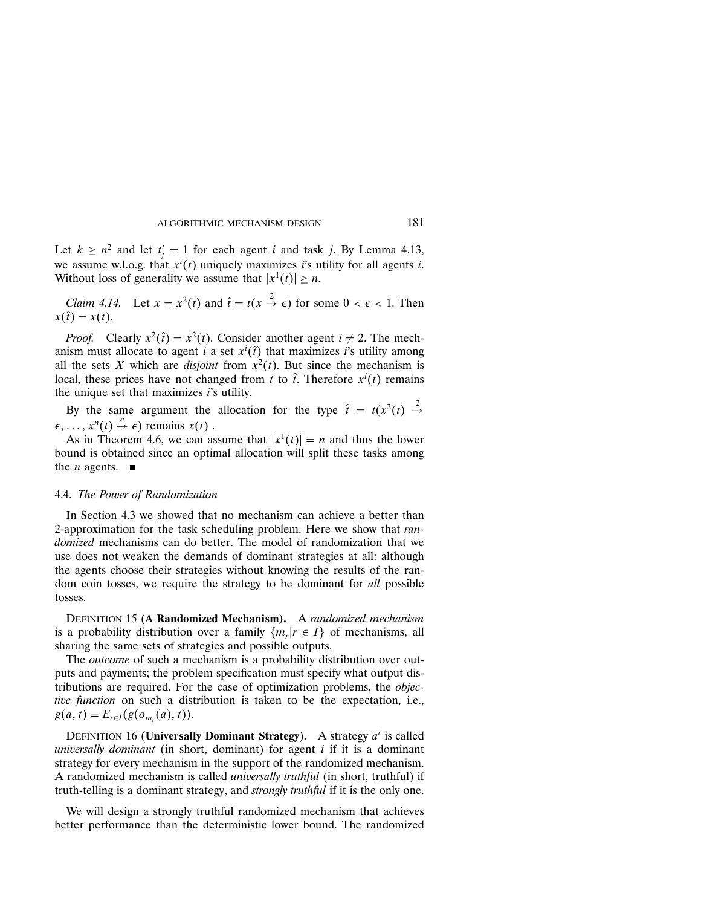Let  $k \ge n^2$  and let  $t_j^i = 1$  for each agent i and task j. By Lemma 4.13, we assume w.l.o.g. that  $x^{i}(t)$  uniquely maximizes is utility for all agents i. Without loss of generality we assume that  $|x^1(t)| \ge n$ .

*Claim 4.14.* Let  $x = x^2(t)$  and  $\hat{t} = t(x \stackrel{?}{\rightarrow} \epsilon)$  for some  $0 < \epsilon < 1$ . Then  $x(\hat{t}) = x(t).$ 

*Proof.* Clearly  $x^2(\hat{t}) = x^2(t)$ . Consider another agent  $i \neq 2$ . The mechanism must allocate to agent i a set  $x^{i}(\hat{t})$  that maximizes i's utility among all the sets X which are *disjoint* from  $x^2(t)$ . But since the mechanism is local, these prices have not changed from t to  $\hat{t}$ . Therefore  $x^{i}(t)$  remains the unique set that maximizes  $i$ 's utility.

By the same argument the allocation for the type  $\hat{t} = t(x^2(t)) \stackrel{?}{\rightarrow}$  $\epsilon, \ldots, x^n(t) \stackrel{n}{\rightarrow} \epsilon$ ) remains  $x(t)$ .

As in Theorem 4.6, we can assume that  $|x^1(t)| = n$  and thus the lower bound is obtained since an optimal allocation will split these tasks among the *n* agents.  $\blacksquare$ 

# 4.4. The Power of Randomization

In Section 4.3 we showed that no mechanism can achieve a better than 2-approximation for the task scheduling problem. Here we show that randomized mechanisms can do better. The model of randomization that we use does not weaken the demands of dominant strategies at all: although the agents choose their strategies without knowing the results of the random coin tosses, we require the strategy to be dominant for all possible tosses.

DEFINITION 15 (A Randomized Mechanism). A randomized mechanism is a probability distribution over a family  $\{m_r | r \in I\}$  of mechanisms, all sharing the same sets of strategies and possible outputs.

The outcome of such a mechanism is a probability distribution over outputs and payments; the problem specification must specify what output distributions are required. For the case of optimization problems, the *objec*tive function on such a distribution is taken to be the expectation, i.e.,  $g(a, t) = E_{r \in I}(g(o_{m_r}(a), t)).$ 

DEFINITION 16 (Universally Dominant Strategy). A strategy  $a^i$  is called universally dominant (in short, dominant) for agent  $i$  if it is a dominant strategy for every mechanism in the support of the randomized mechanism. A randomized mechanism is called universally truthful (in short, truthful) if truth-telling is a dominant strategy, and *strongly truthful* if it is the only one.

We will design a strongly truthful randomized mechanism that achieves better performance than the deterministic lower bound. The randomized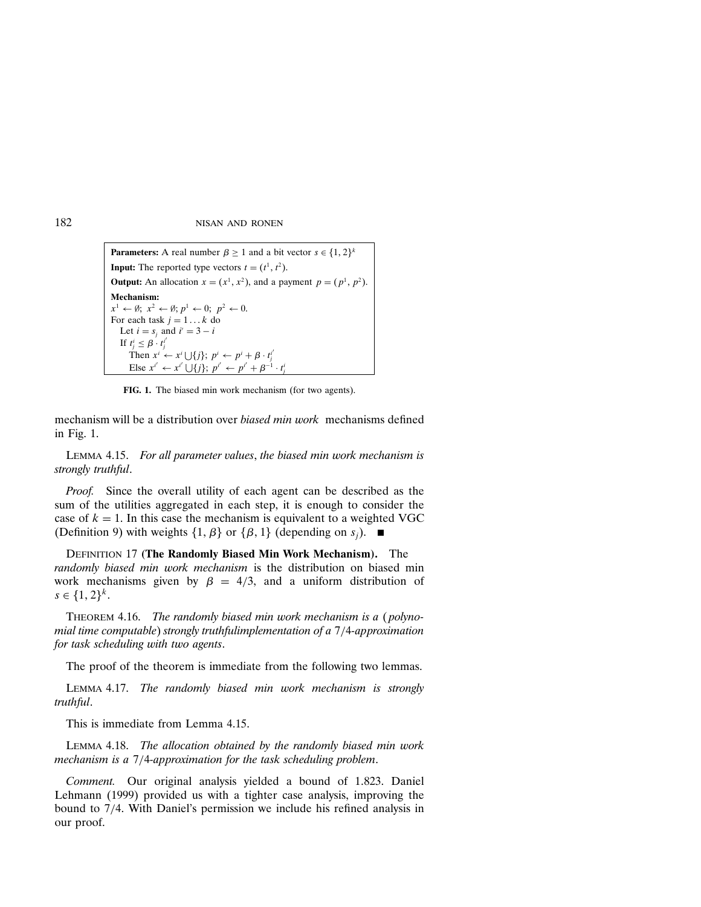**Parameters:** A real number  $\beta \ge 1$  and a bit vector  $s \in \{1, 2\}^k$ **Input:** The reported type vectors  $t = (t^1, t^2)$ . **Output:** An allocation  $x = (x^1, x^2)$ , and a payment  $p = (p^1, p^2)$ . Mechanism:  $x^1 \leftarrow \emptyset$ ;  $x^2 \leftarrow \emptyset$ ;  $p^1 \leftarrow 0$ ;  $p^2 \leftarrow 0$ . For each task  $j = 1...k$  do Let  $i = s_j$  and  $i' = 3 - i$ If  $t_j^i \leq \beta \cdot t_j^{i'}$ Then  $x^i \leftarrow x^i \cup \{j\}; p^i \leftarrow p^i + \beta \cdot t^{i'}_j$ Else  $x^{i'} \leftarrow x^{i'} \cup \{j\}; p^{i'} \leftarrow p^{i'} + \beta^{-1} \cdot t_j^i$ 

FIG. 1. The biased min work mechanism (for two agents).

mechanism will be a distribution over *biased min work* mechanisms defined in Fig. 1.

Lemma 4.15. For all parameter values, the biased min work mechanism is strongly truthful.

Proof. Since the overall utility of each agent can be described as the sum of the utilities aggregated in each step, it is enough to consider the case of  $k = 1$ . In this case the mechanism is equivalent to a weighted VGC (Definition 9) with weights  $\{1, \beta\}$  or  $\{\beta, 1\}$  (depending on  $s_i$ ).

DEFINITION 17 (The Randomly Biased Min Work Mechanism). The randomly biased min work mechanism is the distribution on biased min work mechanisms given by  $\beta = 4/3$ , and a uniform distribution of  $s \in \{1, 2\}^k$ .

THEOREM 4.16. The randomly biased min work mechanism is a (polynomial time computable) strongly truthfulimplementation of a 7/4-approximation for task scheduling with two agents.

The proof of the theorem is immediate from the following two lemmas.

Lemma 4.17. The randomly biased min work mechanism is strongly truthful.

This is immediate from Lemma 4.15.

Lemma 4.18. The allocation obtained by the randomly biased min work mechanism is a 7/4-approximation for the task scheduling problem.

Comment. Our original analysis yielded a bound of 1.823. Daniel Lehmann (1999) provided us with a tighter case analysis, improving the bound to 7/4. With Daniel's permission we include his refined analysis in our proof.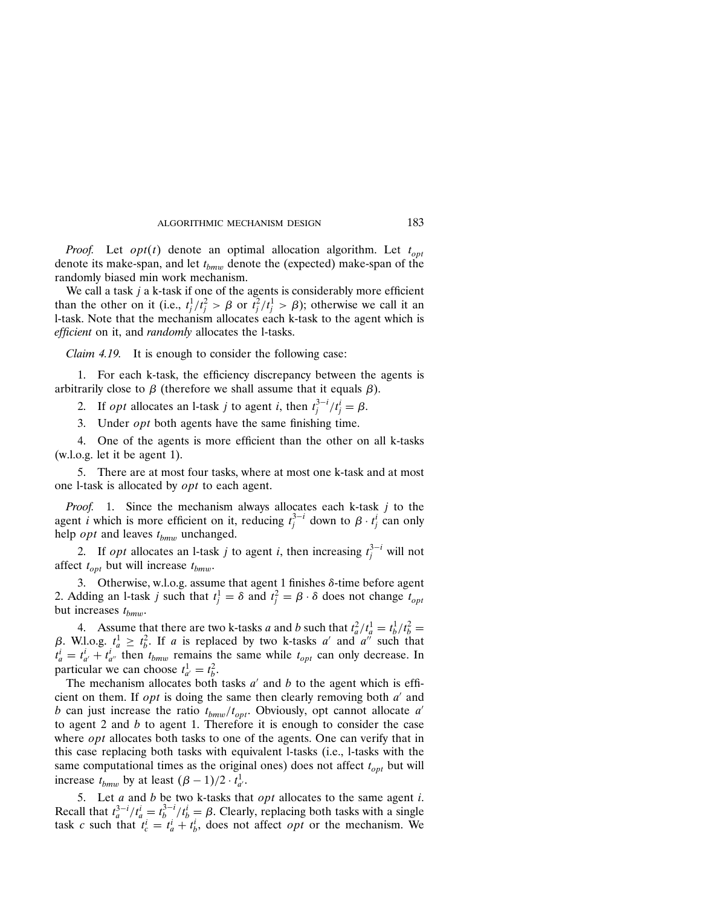*Proof.* Let  $opt(t)$  denote an optimal allocation algorithm. Let  $t_{opt}$ denote its make-span, and let  $t_{b m w}$  denote the (expected) make-span of the randomly biased min work mechanism.

We call a task  $j$  a k-task if one of the agents is considerably more efficient than the other on it (i.e.,  $t_j^1/t_j^2 > \beta$  or  $t_j^2/t_j^1 > \beta$ ); otherwise we call it an l-task. Note that the mechanism allocates each k-task to the agent which is efficient on it, and *randomly* allocates the 1-tasks.

Claim 4.19. It is enough to consider the following case:

1. For each k-task, the efficiency discrepancy between the agents is arbitrarily close to  $\beta$  (therefore we shall assume that it equals  $\beta$ ).

2. If *opt* allocates an l-task *j* to agent *i*, then  $t_j^{3-i}/t_j^i = \beta$ .

3. Under *opt* both agents have the same finishing time.

4. One of the agents is more efficient than the other on all k-tasks  $(w.l.o.g. let it be agent 1).$ 

5. There are at most four tasks, where at most one k-task and at most one l-task is allocated by opt to each agent.

*Proof.* 1. Since the mechanism always allocates each k-task  $j$  to the agent *i* which is more efficient on it, reducing  $t_j^{3-i}$  down to  $\beta \cdot t_j^i$  can only help  $opt$  and leaves  $t_{bmu}$  unchanged.

2. If *opt* allocates an l-task *j* to agent *i*, then increasing  $t_j^{3-i}$  will not affect  $t_{\text{ont}}$  but will increase  $t_{\text{bmu}}$ .

3. Otherwise, w.l.o.g. assume that agent 1 finishes  $\delta$ -time before agent 2. Adding an l-task *j* such that  $t_j^1 = \delta$  and  $t_j^2 = \beta \cdot \delta$  does not change  $t_{opt}$ but increases  $t_{bmu}$ .

4. Assume that there are two k-tasks a and b such that  $t_a^2/t_a^1 = t_b^1/t_b^2 =$ β. W.l.o.g.  $t_a^1 \geq t_b^2$ . If a is replaced by two k-tasks a' and a'' such that  $t_a^i = t_{a'}^i + t_{a''}^i$  then  $t_{bmv}$  remains the same while  $t_{opt}$  can only decrease. In particular we can choose  $t_{a'}^1 = t_b^2$ .

The mechanism allocates both tasks  $a'$  and b to the agent which is efficient on them. If *opt* is doing the same then clearly removing both  $a'$  and b can just increase the ratio  $t_{bmm}/t_{opt}$ . Obviously, opt cannot allocate a' to agent 2 and  $b$  to agent 1. Therefore it is enough to consider the case where *opt* allocates both tasks to one of the agents. One can verify that in this case replacing both tasks with equivalent l-tasks (i.e., l-tasks with the same computational times as the original ones) does not affect  $t_{opt}$  but will increase  $t_{b m w}$  by at least  $(\beta - 1)/2 \cdot t_{a'}^1$ .

5. Let  $a$  and  $b$  be two k-tasks that  $opt$  allocates to the same agent  $i$ . Recall that  $t_a^{3-i}/t_a^i = t_b^{3-i}/t_b^i = \beta$ . Clearly, replacing both tasks with a single task c such that  $t_c^i = t_a^i + t_b^i$ , does not affect *opt* or the mechanism. We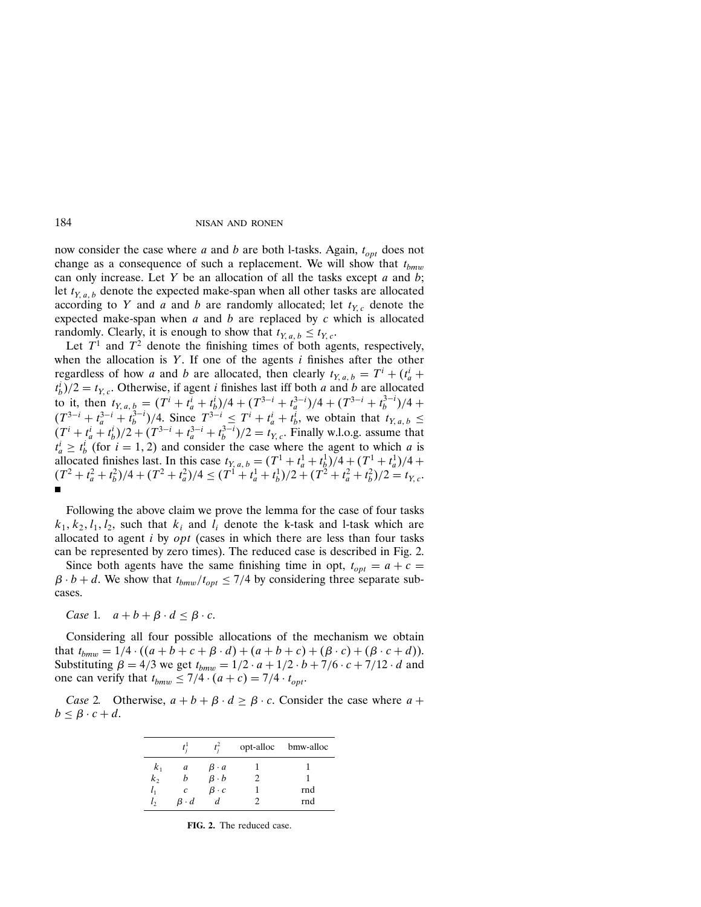now consider the case where a and b are both l-tasks. Again,  $t_{opt}$  does not change as a consequence of such a replacement. We will show that  $t_{bmu}$ can only increase. Let  $Y$  be an allocation of all the tasks except  $a$  and  $b$ ; let  $t_{Y, a, b}$  denote the expected make-span when all other tasks are allocated according to Y and a and b are randomly allocated; let  $t_{Yc}$  denote the expected make-span when  $a$  and  $b$  are replaced by  $c$  which is allocated randomly. Clearly, it is enough to show that  $t_{Y, a, b} \le t_{Y, c}$ .

Let  $T<sup>1</sup>$  and  $T<sup>2</sup>$  denote the finishing times of both agents, respectively, when the allocation is  $Y$ . If one of the agents  $i$  finishes after the other regardless of how a and b are allocated, then clearly  $t_{Y, a, b} = T^i + (t_a^i +$  $(t_b^i)/2 = t_{Y,c}$ . Otherwise, if agent *i* finishes last iff both *a* and *b* are allocated to it, then  $t_{Y, a, b} = (T^{i} + t^{i}_{a} + t^{i}_{b})/4 + (T^{3-i} + t^{3-i}_{a})/4 + (T^{3-i} + t^{3-i}_{b})/4 +$  $(T^{3-i} + t_a^{3-i} + t_b^{3-i})/4$ . Since  $T^{3-i} \leq T^i + t_a^i + t_b^i$ , we obtain that  $t_{Y,a,b} \leq$  $(T^{i} + t^{i}_{a} + t^{i}_{b})/2 + (T^{3-i} + t^{3-i}_{a} + t^{3-i}_{b})/2 = t_{Y, c}$ . Finally w.l.o.g. assume that  $t_a^i \geq t_b^i$  (for  $i = 1, 2$ ) and consider the case where the agent to which a is allocated finishes last. In this case  $t_{Y, a, b} = (T_1^1 + t_a^1 + t_b^1)/4 + (T_1^1 + t_a^1)/4 +$  $(T^2 + t_a^2 + t_b^2)/4 + (T^2 + t_a^2)/4 \le (T^1 + t_a^1 + t_b^1)/2 + (T^2 + t_a^2 + t_b^2)/2 = t_{Y, c}.$ 

Following the above claim we prove the lemma for the case of four tasks  $k_1, k_2, l_1, l_2$ , such that  $k_i$  and  $l_i$  denote the k-task and l-task which are allocated to agent  $i$  by  $opt$  (cases in which there are less than four tasks can be represented by zero times). The reduced case is described in Fig. 2.

Since both agents have the same finishing time in opt,  $t_{opt} = a + c$  $\beta \cdot b + d$ . We show that  $t_{bmu}/t_{opt} \le 7/4$  by considering three separate subcases.

Case 1.  $a+b+\beta \cdot d \leq \beta \cdot c$ .

Considering all four possible allocations of the mechanism we obtain that  $t_{bmw} = 1/4 \cdot ((a+b+c+\beta \cdot d) + (a+b+c) + (\beta \cdot c) + (\beta \cdot c+d)).$ Substituting  $\beta = 4/3$  we get  $t_{b m w} = 1/2 \cdot a + 1/2 \cdot b + 7/6 \cdot c + 7/12 \cdot d$  and one can verify that  $t_{bmu} \le 7/4 \cdot (a + c) = 7/4 \cdot t_{opt}$ .

Case 2. Otherwise,  $a + b + \beta \cdot d \ge \beta \cdot c$ . Consider the case where  $a +$  $b < \beta \cdot c + d$ .

|                   |                       | $t_i^2$         | opt-alloc bmw-alloc |
|-------------------|-----------------------|-----------------|---------------------|
|                   | a                     | $\beta \cdot a$ |                     |
| $\frac{k_1}{k_2}$ | b                     | $\beta \cdot b$ |                     |
|                   | $\mathcal{C}_{0}^{2}$ | $\beta \cdot c$ | rnd                 |
| $\epsilon$        | $\beta \cdot d$       |                 | rnd                 |

FIG. 2. The reduced case.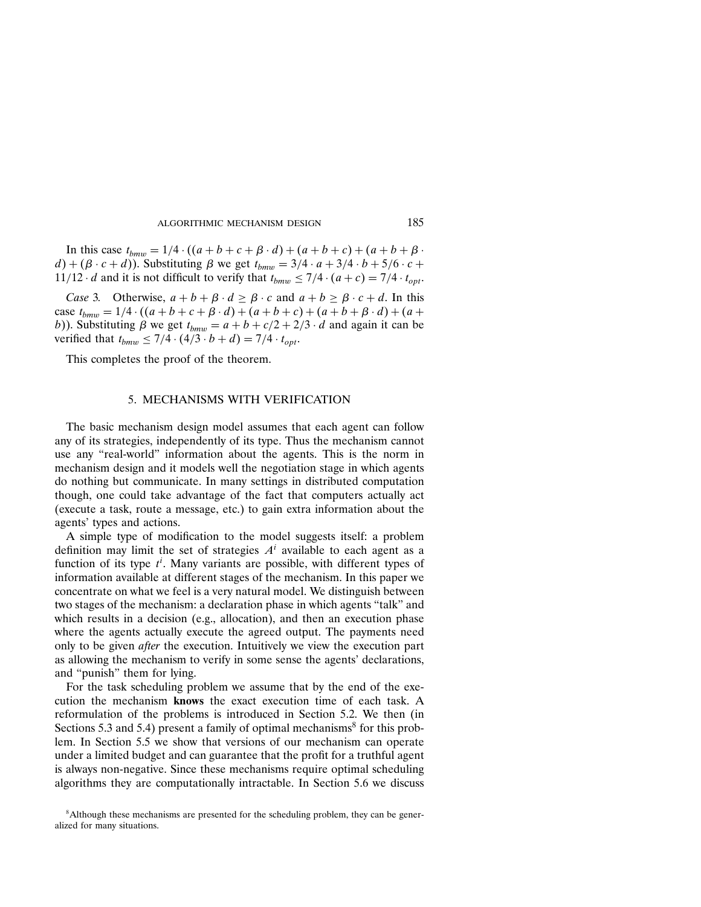In this case  $t_{b m w} = 1/4 \cdot ((a + b + c + \beta \cdot d) + (a + b + c) + (a + b + \beta \cdot d))$  $d + (\beta \cdot c + d)$ ). Substituting  $\beta$  we get  $t_{b m w} = 3/4 \cdot a + 3/4 \cdot b + 5/6 \cdot c +$ 11/12  $\cdot$  d and it is not difficult to verify that  $t_{bmu} \le 7/4 \cdot (a + c) = 7/4 \cdot t_{opt}$ .

Case 3. Otherwise,  $a + b + \beta \cdot d \ge \beta \cdot c$  and  $a + b \ge \beta \cdot c + d$ . In this case  $t_{bmu} = 1/4 \cdot ((a+b+c+\beta \cdot d) + (a+b+c) + (a+b+\beta \cdot d) + (a+b+c))$ b. Substituting  $\beta$  we get  $t_{b m w} = a + b + c/2 + 2/3 \cdot d$  and again it can be verified that  $t_{bmu} \le 7/4 \cdot (4/3 \cdot b + d) = 7/4 \cdot t_{opt}$ .

This completes the proof of the theorem.

### 5. MECHANISMS WITH VERIFICATION

The basic mechanism design model assumes that each agent can follow any of its strategies, independently of its type. Thus the mechanism cannot use any "real-world" information about the agents. This is the norm in mechanism design and it models well the negotiation stage in which agents do nothing but communicate. In many settings in distributed computation though, one could take advantage of the fact that computers actually act (execute a task, route a message, etc.) to gain extra information about the agents' types and actions.

A simple type of modification to the model suggests itself: a problem definition may limit the set of strategies  $A<sup>i</sup>$  available to each agent as a function of its type  $t^i$ . Many variants are possible, with different types of information available at different stages of the mechanism. In this paper we concentrate on what we feel is a very natural model. We distinguish between two stages of the mechanism: a declaration phase in which agents "talk" and which results in a decision (e.g., allocation), and then an execution phase where the agents actually execute the agreed output. The payments need only to be given after the execution. Intuitively we view the execution part as allowing the mechanism to verify in some sense the agents' declarations, and "punish" them for lying.

For the task scheduling problem we assume that by the end of the execution the mechanism knows the exact execution time of each task. A reformulation of the problems is introduced in Section 5.2. We then (in Sections 5.3 and 5.4) present a family of optimal mechanisms<sup>8</sup> for this problem. In Section 5.5 we show that versions of our mechanism can operate under a limited budget and can guarantee that the profit for a truthful agent is always non-negative. Since these mechanisms require optimal scheduling algorithms they are computationally intractable. In Section 5.6 we discuss

<sup>&</sup>lt;sup>8</sup>Although these mechanisms are presented for the scheduling problem, they can be generalized for many situations.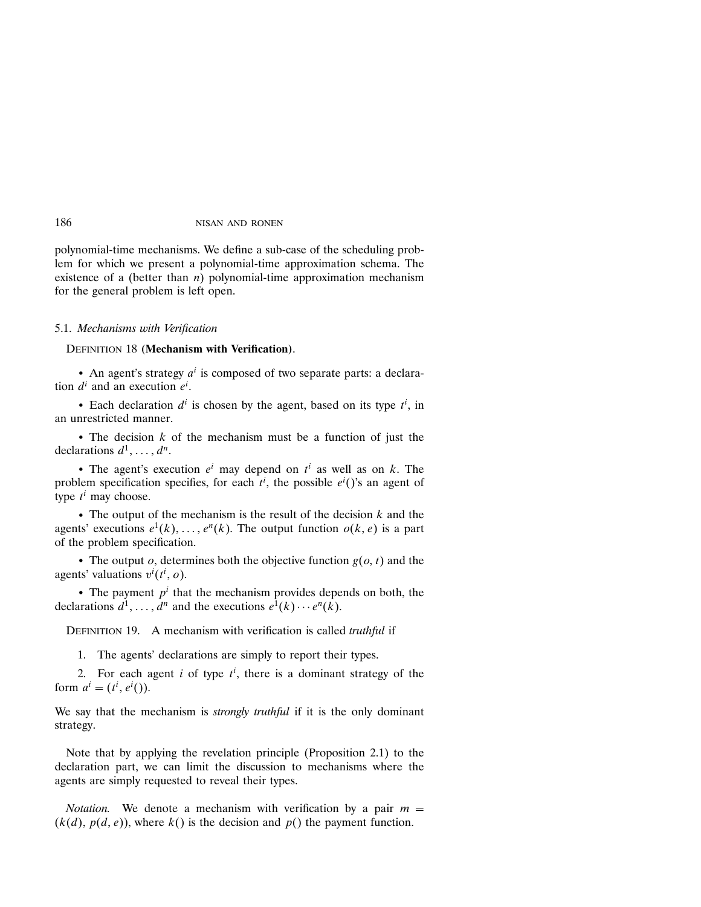polynomial-time mechanisms. We define a sub-case of the scheduling problem for which we present a polynomial-time approximation schema. The existence of a (better than  $n$ ) polynomial-time approximation mechanism for the general problem is left open.

# 5.1. Mechanisms with Verification

DEFINITION 18 (Mechanism with Verification).

• An agent's strategy  $a^i$  is composed of two separate parts: a declaration  $d^i$  and an execution  $e^i$ .

• Each declaration  $d^i$  is chosen by the agent, based on its type  $t^i$ , in an unrestricted manner.

• The decision  $k$  of the mechanism must be a function of just the declarations  $d^1, \ldots, d^n$ .

• The agent's execution  $e^i$  may depend on  $t^i$  as well as on k. The problem specification specifies, for each  $t^i$ , the possible  $e^i$  ()'s an agent of type  $t^i$  may choose.

• The output of the mechanism is the result of the decision  $k$  and the agents' executions  $e^1(k), \ldots, e^n(k)$ . The output function  $o(k, e)$  is a part of the problem specification.

• The output *o*, determines both the objective function  $g(o, t)$  and the agents' valuations  $v^i(t^i, o)$ .

• The payment  $p^i$  that the mechanism provides depends on both, the declarations  $d^1, \ldots, d^n$  and the executions  $e^1(k) \cdots e^n(k)$ .

DEFINITION 19. A mechanism with verification is called *truthful* if

1. The agents' declarations are simply to report their types.

2. For each agent i of type  $t^i$ , there is a dominant strategy of the form  $a^i = (t^i, e^i)$ .

We say that the mechanism is *strongly truthful* if it is the only dominant strategy.

Note that by applying the revelation principle (Proposition 2.1) to the declaration part, we can limit the discussion to mechanisms where the agents are simply requested to reveal their types.

*Notation*. We denote a mechanism with verification by a pair  $m =$  $(k(d), p(d, e))$ , where  $k()$  is the decision and  $p()$  the payment function.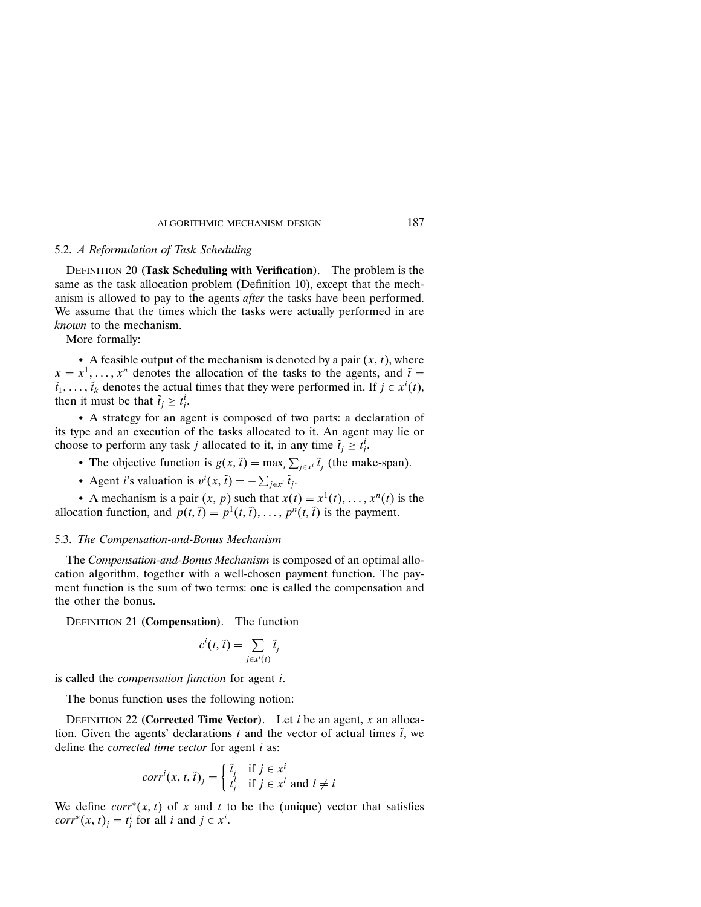### 5.2. A Reformulation of Task Scheduling

DEFINITION 20 (Task Scheduling with Verification). The problem is the same as the task allocation problem (Definition 10), except that the mechanism is allowed to pay to the agents after the tasks have been performed. We assume that the times which the tasks were actually performed in are known to the mechanism.

More formally:

• A feasible output of the mechanism is denoted by a pair  $(x, t)$ , where  $x = x<sup>1</sup>, \dots, x<sup>n</sup>$  denotes the allocation of the tasks to the agents, and  $\tilde{t} =$  $\tilde{t}_1, \ldots, \tilde{t}_k$  denotes the actual times that they were performed in. If  $j \in x^i(t)$ , then it must be that  $\tilde{t}_j \geq t_j^i$ .

• A strategy for an agent is composed of two parts: a declaration of its type and an execution of the tasks allocated to it. An agent may lie or choose to perform any task *j* allocated to it, in any time  $\tilde{t}_j \ge t_j^i$ .

- The objective function is  $g(x, \tilde{t}) = \max_i \sum_{j \in x^i} \tilde{t}_j$  (the make-span).
- Agent *i*'s valuation is  $v^i(x, \tilde{t}) = -\sum_{j \in x^i} \tilde{t}_j$ .

• A mechanism is a pair  $(x, p)$  such that  $x(t) = x^1(t), \ldots, x^n(t)$  is the allocation function, and  $p(t, \tilde{t}) = p^1(t, \tilde{t}), \dots, p^n(t, \tilde{t})$  is the payment.

#### 5.3. The Compensation-and-Bonus Mechanism

The Compensation-and-Bonus Mechanism is composed of an optimal allocation algorithm, together with a well-chosen payment function. The payment function is the sum of two terms: one is called the compensation and the other the bonus.

DEFINITION 21 (Compensation). The function

$$
c^i(t,\tilde{t})=\sum_{j\in x^i(t)}\tilde{t}_j
$$

is called the compensation function for agent i.

The bonus function uses the following notion:

DEFINITION 22 (Corrected Time Vector). Let  $i$  be an agent,  $x$  an allocation. Given the agents' declarations t and the vector of actual times  $\tilde{t}$ , we define the *corrected time vector* for agent  $i$  as:

$$
corr^{i}(x, t, \tilde{t})_{j} = \begin{cases} \tilde{t}_{j} & \text{if } j \in x^{i} \\ t_{j}^{l} & \text{if } j \in x^{l} \text{ and } l \neq i \end{cases}
$$

We define  $corr^*(x, t)$  of x and t to be the (unique) vector that satisfies  $corr^*(x, t)_j = t_j^i$  for all *i* and  $j \in x^i$ .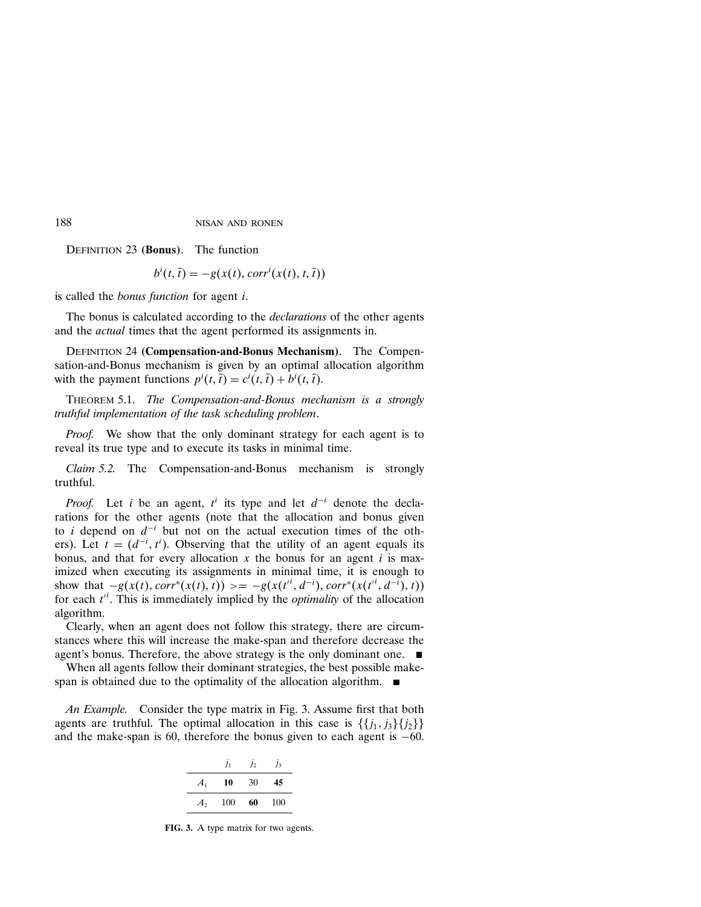DEFINITION 23 (Bonus). The function

 $b^i(t, \tilde{t}) = -g(x(t), corr^i(x(t), t, \tilde{t}))$ 

is called the bonus function for agent i.

The bonus is calculated according to the *declarations* of the other agents and the actual times that the agent performed its assignments in.

DEFINITION 24 (Compensation-and-Bonus Mechanism). The Compensation-and-Bonus mechanism is given by an optimal allocation algorithm with the payment functions  $p^{i}(t, \tilde{t}) = c^{i}(t, \tilde{t}) + b^{i}(t, \tilde{t}).$ 

Theorem 5.1. The Compensation-and-Bonus mechanism is a strongly truthful implementation of the task scheduling problem.

Proof. We show that the only dominant strategy for each agent is to reveal its true type and to execute its tasks in minimal time.

Claim 5.2. The Compensation-and-Bonus mechanism is strongly truthful.

*Proof.* Let i be an agent,  $t^i$  its type and let  $d^{-i}$  denote the declarations for the other agents (note that the allocation and bonus given to *i* depend on  $d^{-i}$  but not on the actual execution times of the others). Let  $t = (d^{-i}, t^i)$ . Observing that the utility of an agent equals its bonus, and that for every allocation x the bonus for an agent  $i$  is maximized when executing its assignments in minimal time, it is enough to show that  $-g(x(t), corr^*(x(t), t)) \geq -g(x(t^{i}, d^{-i}), corr^*(x(t^{i}, d^{-i}), t))$ for each  $t^i$ . This is immediately implied by the *optimality* of the allocation algorithm.

Clearly, when an agent does not follow this strategy, there are circumstances where this will increase the make-span and therefore decrease the agent's bonus. Therefore, the above strategy is the only dominant one.

When all agents follow their dominant strategies, the best possible makespan is obtained due to the optimality of the allocation algorithm.

An Example. Consider the type matrix in Fig. 3. Assume first that both agents are truthful. The optimal allocation in this case is  $\{\{j_1, j_3\}\{j_2\}\}\$ and the make-span is 60, therefore the bonus given to each agent is −60.

|                | J <sub>1</sub> | J <sub>2</sub> | $J_3$ |
|----------------|----------------|----------------|-------|
| $A_1$          | 10             | 30             | 45    |
| A <sub>2</sub> | 100            | 60             | 100   |

FIG. 3. A type matrix for two agents.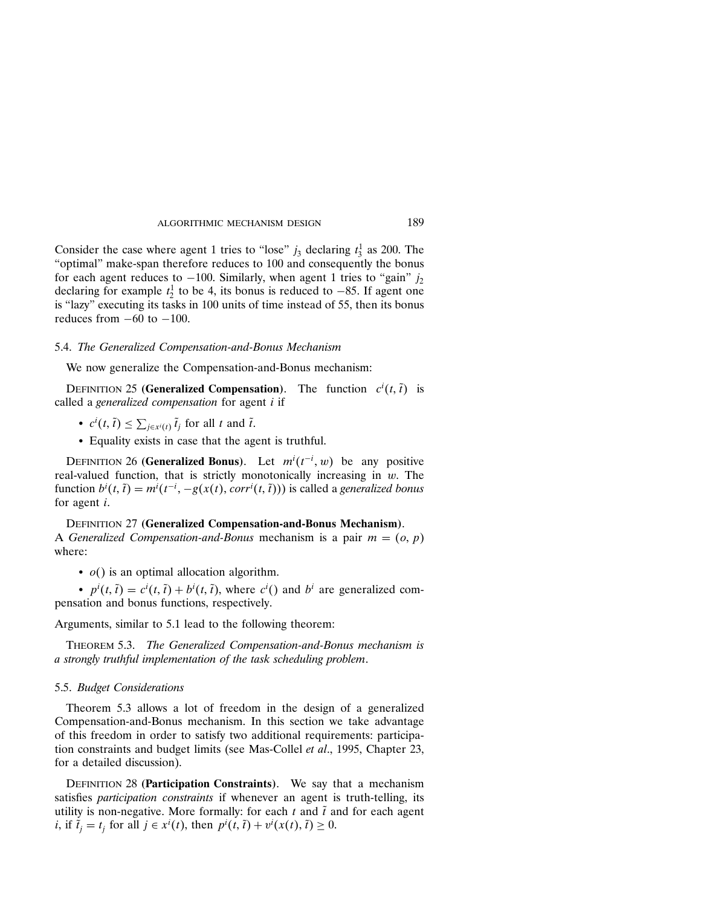Consider the case where agent 1 tries to "lose"  $j_3$  declaring  $t_3^1$  as 200. The "optimal" make-span therefore reduces to 100 and consequently the bonus for each agent reduces to −100. Similarly, when agent 1 tries to "gain"  $j_2$ declaring for example  $t_2^1$  to be 4, its bonus is reduced to  $-85$ . If agent one is "lazy" executing its tasks in 100 units of time instead of 55, then its bonus reduces from  $-60$  to  $-100$ .

### 5.4. The Generalized Compensation-and-Bonus Mechanism

We now generalize the Compensation-and-Bonus mechanism:

DEFINITION 25 (Generalized Compensation). The function  $c^{i}(t, \tilde{t})$  is called a generalized compensation for agent  $i$  if

- $c^i(t, \tilde{t}) \leq \sum_{j \in x^i(t)} \tilde{t}_j$  for all t and  $\tilde{t}$ .
- Equality exists in case that the agent is truthful.

DEFINITION 26 (Generalized Bonus). Let  $m^i(t^{-i}, w)$  be any positive real-valued function, that is strictly monotonically increasing in  $w$ . The function  $b^i(t, \tilde{t}) = m^i(t^{-i}, -g(x(t), corr^i(t, \tilde{t})))$  is called a generalized bonus for agent i.

DEFINITION 27 (Generalized Compensation-and-Bonus Mechanism). A *Generalized Compensation-and-Bonus* mechanism is a pair  $m = (o, p)$ where:

•  $o()$  is an optimal allocation algorithm.

•  $p^{i}(t, \tilde{t}) = c^{i}(t, \tilde{t}) + b^{i}(t, \tilde{t})$ , where  $c^{i}(t)$  and  $b^{i}$  are generalized compensation and bonus functions, respectively.

Arguments, similar to 5.1 lead to the following theorem:

Theorem 5.3. The Generalized Compensation-and-Bonus mechanism is a strongly truthful implementation of the task scheduling problem.

### 5.5. Budget Considerations

Theorem 5.3 allows a lot of freedom in the design of a generalized Compensation-and-Bonus mechanism. In this section we take advantage of this freedom in order to satisfy two additional requirements: participation constraints and budget limits (see Mas-Collel et  $al$ ., 1995, Chapter 23, for a detailed discussion).

DEFINITION 28 (Participation Constraints). We say that a mechanism satisfies *participation constraints* if whenever an agent is truth-telling, its utility is non-negative. More formally: for each  $t$  and  $\tilde{t}$  and for each agent *i*, if  $\tilde{t}_j = t_j$  for all  $j \in x^i(t)$ , then  $p^i(t, \tilde{t}) + v^i(x(t), \tilde{t}) \ge 0$ .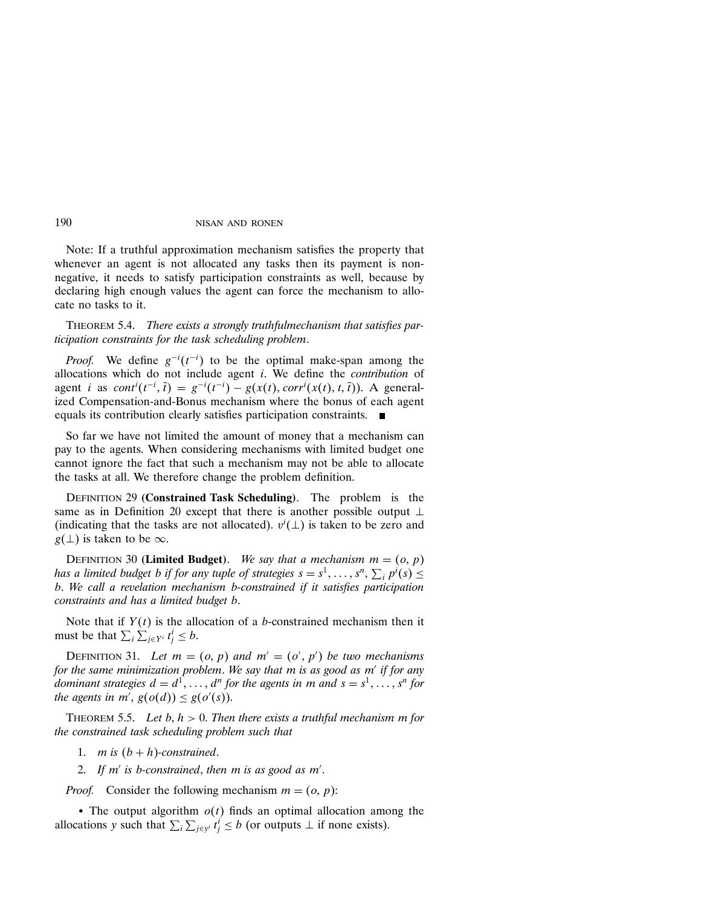Note: If a truthful approximation mechanism satisfies the property that whenever an agent is not allocated any tasks then its payment is nonnegative, it needs to satisfy participation constraints as well, because by declaring high enough values the agent can force the mechanism to allocate no tasks to it.

THEOREM 5.4. There exists a strongly truthfulmechanism that satisfies participation constraints for the task scheduling problem.

*Proof.* We define  $g^{-i}(t^{-i})$  to be the optimal make-span among the allocations which do not include agent  $i$ . We define the *contribution* of agent *i* as  $cont^i(t^{-i}, \tilde{t}) = g^{-i}(t^{-i}) - g(x(t), corr^i(x(t), t, \tilde{t}))$ . A generalized Compensation-and-Bonus mechanism where the bonus of each agent equals its contribution clearly satisfies participation constraints.

So far we have not limited the amount of money that a mechanism can pay to the agents. When considering mechanisms with limited budget one cannot ignore the fact that such a mechanism may not be able to allocate the tasks at all. We therefore change the problem definition.

DEFINITION 29 (Constrained Task Scheduling). The problem is the same as in Definition 20 except that there is another possible output ⊥ (indicating that the tasks are not allocated).  $v^{i}(\perp)$  is taken to be zero and  $g(\perp)$  is taken to be  $\infty$ .

DEFINITION 30 (Limited Budget). We say that a mechanism  $m = (o, p)$ has a limited budget b if for any tuple of strategies  $s = s^1, \ldots, s^n$ ,  $\sum_i p^i(s) \leq$ b. We call a revelation mechanism b-constrained if it satisfies participation constraints and has a limited budget b.

Note that if  $Y(t)$  is the allocation of a *b*-constrained mechanism then it must be that  $\sum_i \sum_{j \in Y^i} t^i_j \leq b$ .

DEFINITION 31. Let  $m = (o, p)$  and  $m' = (o', p')$  be two mechanisms for the same minimization problem. We say that  $m$  is as good as  $m'$  if for any dominant strategies  $d = d^1, \ldots, d^n$  for the agents in m and  $s = s^1, \ldots, s^n$  for the agents in  $m'$ ,  $g(o(d)) \leq g(o'(s))$ .

THEOREM 5.5. Let  $b, h > 0$ . Then there exists a truthful mechanism m for the constrained task scheduling problem such that

- 1. *m* is  $(b + h)$ -constrained.
- 2. If  $m'$  is b-constrained, then  $m$  is as good as  $m'$ .

*Proof.* Consider the following mechanism  $m = (o, p)$ :

• The output algorithm  $o(t)$  finds an optimal allocation among the allocations y such that  $\sum_i \sum_{j \in y^i} t^i_j \leq b$  (or outputs  $\perp$  if none exists).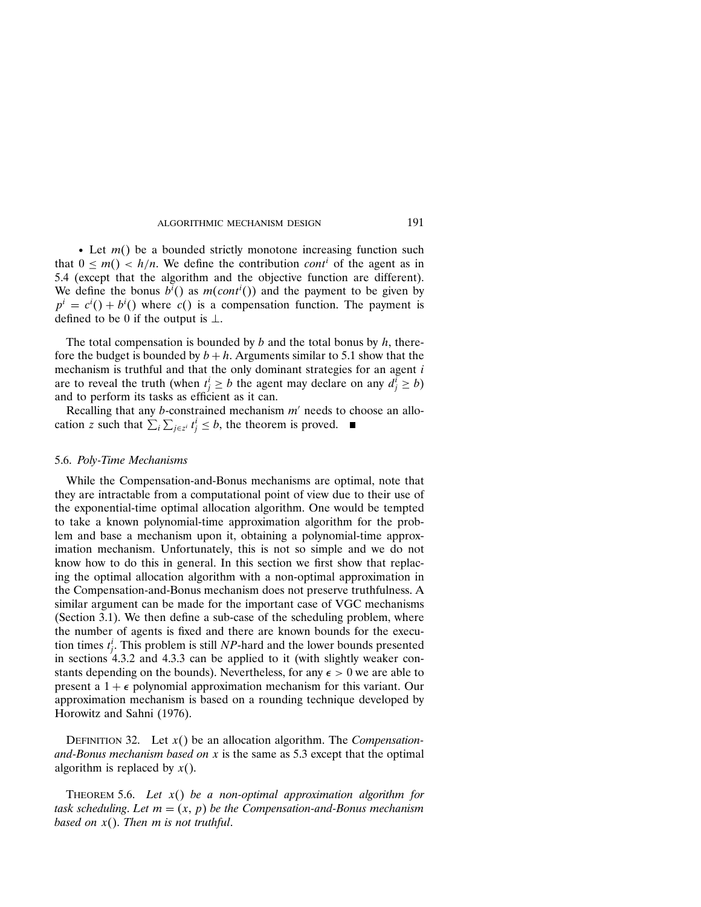• Let  $m()$  be a bounded strictly monotone increasing function such that  $0 \le m() < h/n$ . We define the contribution *cont*<sup>i</sup> of the agent as in 5.4 (except that the algorithm and the objective function are different). We define the bonus  $b^{i}()$  as  $m(cont^{i}())$  and the payment to be given by  $p^{i} = c^{i}( ) + b^{i}( )$  where c() is a compensation function. The payment is defined to be 0 if the output is  $\perp$ .

The total compensation is bounded by  $b$  and the total bonus by  $h$ , therefore the budget is bounded by  $b + h$ . Arguments similar to 5.1 show that the mechanism is truthful and that the only dominant strategies for an agent  $i$ are to reveal the truth (when  $t_j^i \ge b$  the agent may declare on any  $d_j^i \ge b$ ) and to perform its tasks as efficient as it can.

Recalling that any *b*-constrained mechanism  $m'$  needs to choose an allocation z such that  $\sum_i \sum_{j \in z^i} t^i_j \leq b$ , the theorem is proved.

### 5.6. Poly-Time Mechanisms

While the Compensation-and-Bonus mechanisms are optimal, note that they are intractable from a computational point of view due to their use of the exponential-time optimal allocation algorithm. One would be tempted to take a known polynomial-time approximation algorithm for the problem and base a mechanism upon it, obtaining a polynomial-time approximation mechanism. Unfortunately, this is not so simple and we do not know how to do this in general. In this section we first show that replacing the optimal allocation algorithm with a non-optimal approximation in the Compensation-and-Bonus mechanism does not preserve truthfulness. A similar argument can be made for the important case of VGC mechanisms (Section 3.1). We then define a sub-case of the scheduling problem, where the number of agents is fixed and there are known bounds for the execution times  $t_j^i$ . This problem is still NP-hard and the lower bounds presented in sections 4.3.2 and 4.3.3 can be applied to it (with slightly weaker constants depending on the bounds). Nevertheless, for any  $\epsilon > 0$  we are able to present a  $1 + \epsilon$  polynomial approximation mechanism for this variant. Our approximation mechanism is based on a rounding technique developed by Horowitz and Sahni (1976).

DEFINITION 32. Let  $x()$  be an allocation algorithm. The *Compensation*and-Bonus mechanism based on  $x$  is the same as 5.3 except that the optimal algorithm is replaced by  $x()$ .

THEOREM 5.6. Let  $x()$  be a non-optimal approximation algorithm for task scheduling. Let  $m = (x, p)$  be the Compensation-and-Bonus mechanism based on  $x()$ . Then  $m$  is not truthful.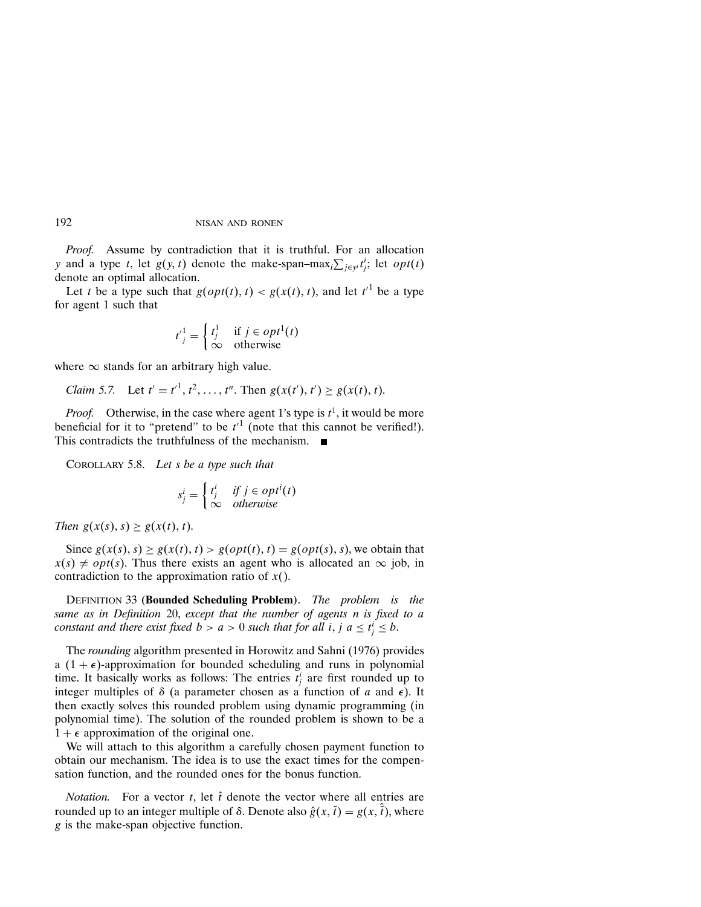Proof. Assume by contradiction that it is truthful. For an allocation y and a type t, let  $g(y, t)$  denote the make-span–max<sub>i</sub> $\sum_{j \in y'} t_j^i$ ; let  $opt(t)$ denote an optimal allocation.

Let t be a type such that  $g(\text{opt}(t), t) < g(x(t), t)$ , and let  $t'^1$  be a type for agent 1 such that

$$
t'_{j} = \begin{cases} t_{j}^{1} & \text{if } j \in opt^{1}(t) \\ \infty & \text{otherwise} \end{cases}
$$

where  $\infty$  stands for an arbitrary high value.

Claim 5.7. Let  $t' = t'^1, t^2, ..., t^n$ . Then  $g(x(t'), t') \ge g(x(t), t)$ .

*Proof.* Otherwise, in the case where agent 1's type is  $t^1$ , it would be more beneficial for it to "pretend" to be  $t<sup>1</sup>$  (note that this cannot be verified!). This contradicts the truthfulness of the mechanism.  $\blacksquare$ 

Corollary 5.8. Let s be a type such that

$$
s_j^i = \begin{cases} t_j^i & \text{if } j \in opt^i(t) \\ \infty & \text{otherwise} \end{cases}
$$

Then  $g(x(s), s) \ge g(x(t), t)$ .

Since  $g(x(s), s) \ge g(x(t), t) > g(\text{opt}(t), t) = g(\text{opt}(s), s)$ , we obtain that  $x(s) \neq opt(s)$ . Thus there exists an agent who is allocated an  $\infty$  job, in contradiction to the approximation ratio of  $x()$ .

DEFINITION 33 (Bounded Scheduling Problem). The problem is the same as in Definition 20, except that the number of agents n is fixed to a constant and there exist fixed  $b > a > 0$  such that for all i, j  $a \leq t_j^i \leq b$ .

The rounding algorithm presented in Horowitz and Sahni (1976) provides a  $(1 + \epsilon)$ -approximation for bounded scheduling and runs in polynomial time. It basically works as follows: The entries  $t_j^i$  are first rounded up to integer multiples of  $\delta$  (a parameter chosen as a function of a and  $\epsilon$ ). It then exactly solves this rounded problem using dynamic programming (in polynomial time). The solution of the rounded problem is shown to be a  $1 + \epsilon$  approximation of the original one.

We will attach to this algorithm a carefully chosen payment function to obtain our mechanism. The idea is to use the exact times for the compensation function, and the rounded ones for the bonus function.

*Notation*. For a vector t, let  $\hat{t}$  denote the vector where all entries are rounded up to an integer multiple of  $\delta$ . Denote also  $\hat{g}(x, \tilde{t}) = g(x, \tilde{t})$ , where g is the make-span objective function.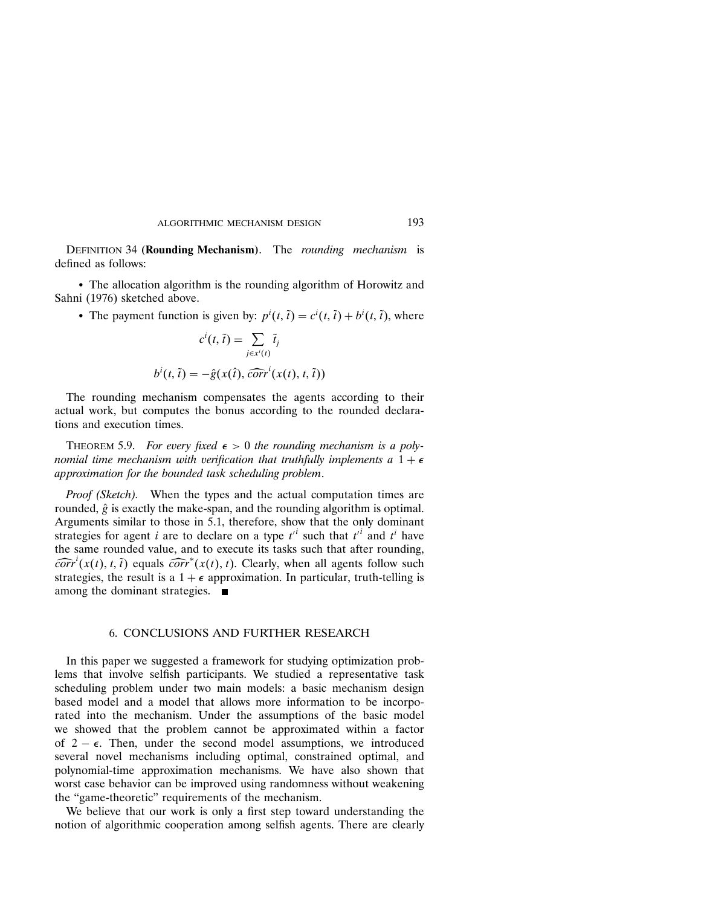DEFINITION 34 (Rounding Mechanism). The rounding mechanism is defined as follows:

• The allocation algorithm is the rounding algorithm of Horowitz and Sahni (1976) sketched above.

• The payment function is given by:  $p^{i}(t, \tilde{t}) = c^{i}(t, \tilde{t}) + b^{i}(t, \tilde{t})$ , where

$$
c^{i}(t,\tilde{t}) = \sum_{j \in x^{i}(t)} \tilde{t}_{j}
$$

$$
b^{i}(t,\tilde{t}) = -\hat{g}(x(\hat{t}), \widehat{corr}^{i}(x(t), t, \tilde{t}))
$$

The rounding mechanism compensates the agents according to their actual work, but computes the bonus according to the rounded declarations and execution times.

THEOREM 5.9. For every fixed  $\epsilon > 0$  the rounding mechanism is a polynomial time mechanism with verification that truthfully implements a  $1+\epsilon$ approximation for the bounded task scheduling problem.

Proof (Sketch). When the types and the actual computation times are rounded,  $\hat{g}$  is exactly the make-span, and the rounding algorithm is optimal. Arguments similar to those in 5.1, therefore, show that the only dominant strategies for agent i are to declare on a type  $t^{i}$  such that  $t^{i}$  and  $t^{i}$  have the same rounded value, and to execute its tasks such that after rounding,  $\widehat{corr}^i(x(t), t, \tilde{t})$  equals  $\widehat{corr}^*(x(t), t)$ . Clearly, when all agents follow such strategies, the result is a  $1 + \epsilon$  approximation. In particular, truth-telling is among the dominant strategies.

### 6. CONCLUSIONS AND FURTHER RESEARCH

In this paper we suggested a framework for studying optimization problems that involve selfish participants. We studied a representative task scheduling problem under two main models: a basic mechanism design based model and a model that allows more information to be incorporated into the mechanism. Under the assumptions of the basic model we showed that the problem cannot be approximated within a factor of  $2 - \epsilon$ . Then, under the second model assumptions, we introduced several novel mechanisms including optimal, constrained optimal, and polynomial-time approximation mechanisms. We have also shown that worst case behavior can be improved using randomness without weakening the "game-theoretic" requirements of the mechanism.

We believe that our work is only a first step toward understanding the notion of algorithmic cooperation among selfish agents. There are clearly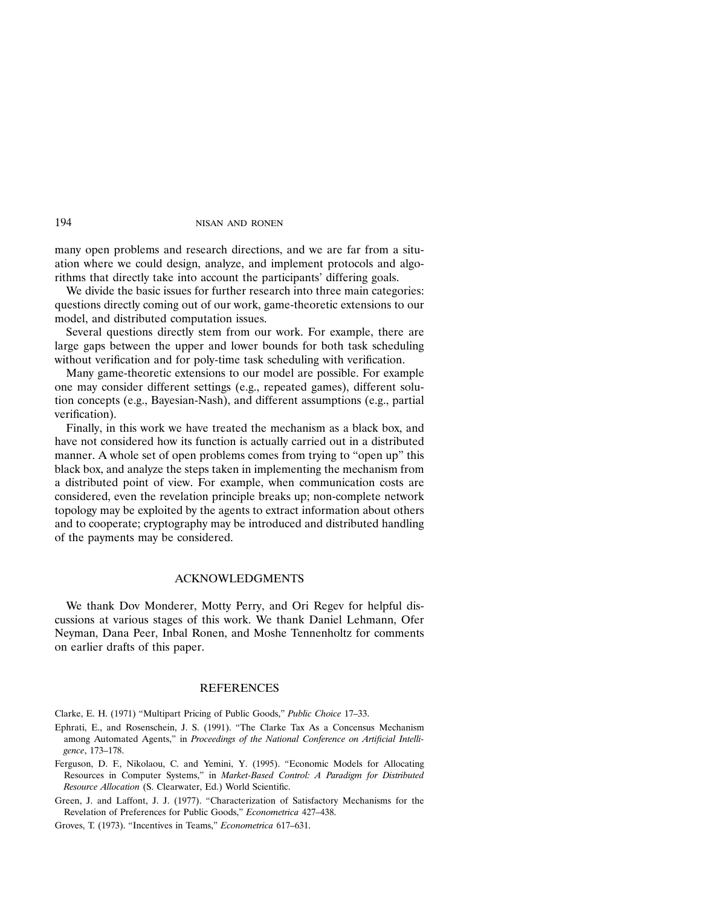many open problems and research directions, and we are far from a situation where we could design, analyze, and implement protocols and algorithms that directly take into account the participants' differing goals.

We divide the basic issues for further research into three main categories: questions directly coming out of our work, game-theoretic extensions to our model, and distributed computation issues.

Several questions directly stem from our work. For example, there are large gaps between the upper and lower bounds for both task scheduling without verification and for poly-time task scheduling with verification.

Many game-theoretic extensions to our model are possible. For example one may consider different settings (e.g., repeated games), different solution concepts (e.g., Bayesian-Nash), and different assumptions (e.g., partial verification).

Finally, in this work we have treated the mechanism as a black box, and have not considered how its function is actually carried out in a distributed manner. A whole set of open problems comes from trying to "open up" this black box, and analyze the steps taken in implementing the mechanism from a distributed point of view. For example, when communication costs are considered, even the revelation principle breaks up; non-complete network topology may be exploited by the agents to extract information about others and to cooperate; cryptography may be introduced and distributed handling of the payments may be considered.

### ACKNOWLEDGMENTS

We thank Dov Monderer, Motty Perry, and Ori Regev for helpful discussions at various stages of this work. We thank Daniel Lehmann, Ofer Neyman, Dana Peer, Inbal Ronen, and Moshe Tennenholtz for comments on earlier drafts of this paper.

#### **REFERENCES**

Clarke, E. H. (1971) "Multipart Pricing of Public Goods," Public Choice 17–33.

- Ephrati, E., and Rosenschein, J. S. (1991). "The Clarke Tax As a Concensus Mechanism among Automated Agents," in Proceedings of the National Conference on Artificial Intelligence, 173–178.
- Ferguson, D. F., Nikolaou, C. and Yemini, Y. (1995). "Economic Models for Allocating Resources in Computer Systems," in Market-Based Control: A Paradigm for Distributed Resource Allocation (S. Clearwater, Ed.) World Scientific.
- Green, J. and Laffont, J. J. (1977). "Characterization of Satisfactory Mechanisms for the Revelation of Preferences for Public Goods," Econometrica 427–438.
- Groves, T. (1973). "Incentives in Teams," Econometrica 617–631.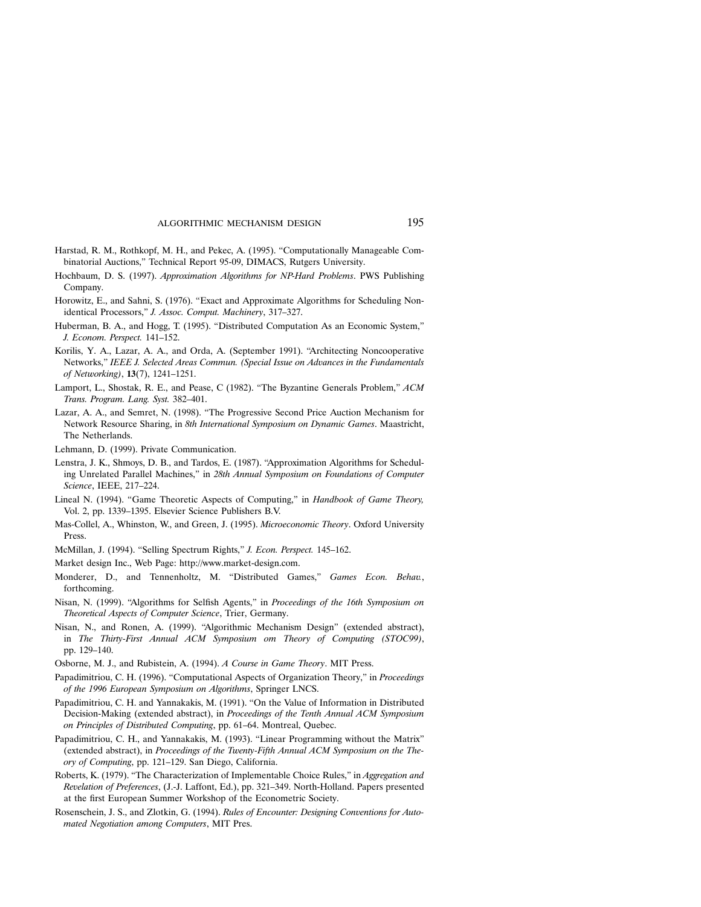- Harstad, R. M., Rothkopf, M. H., and Pekec, A. (1995). "Computationally Manageable Combinatorial Auctions," Technical Report 95-09, DIMACS, Rutgers University.
- Hochbaum, D. S. (1997). Approximation Algorithms for NP-Hard Problems. PWS Publishing Company.
- Horowitz, E., and Sahni, S. (1976). "Exact and Approximate Algorithms for Scheduling Nonidentical Processors," J. Assoc. Comput. Machinery, 317–327.
- Huberman, B. A., and Hogg, T. (1995). "Distributed Computation As an Economic System," J. Econom. Perspect. 141–152.
- Korilis, Y. A., Lazar, A. A., and Orda, A. (September 1991). "Architecting Noncooperative Networks," IEEE J. Selected Areas Commun. (Special Issue on Advances in the Fundamentals of Networking), 13(7), 1241–1251.
- Lamport, L., Shostak, R. E., and Pease, C (1982). "The Byzantine Generals Problem," ACM Trans. Program. Lang. Syst. 382–401.
- Lazar, A. A., and Semret, N. (1998). "The Progressive Second Price Auction Mechanism for Network Resource Sharing, in 8th International Symposium on Dynamic Games. Maastricht, The Netherlands.
- Lehmann, D. (1999). Private Communication.
- Lenstra, J. K., Shmoys, D. B., and Tardos, E. (1987). "Approximation Algorithms for Scheduling Unrelated Parallel Machines," in 28th Annual Symposium on Foundations of Computer Science, IEEE, 217–224.
- Lineal N. (1994). "Game Theoretic Aspects of Computing," in Handbook of Game Theory, Vol. 2, pp. 1339–1395. Elsevier Science Publishers B.V.
- Mas-Collel, A., Whinston, W., and Green, J. (1995). Microeconomic Theory. Oxford University Press.
- McMillan, J. (1994). "Selling Spectrum Rights," J. Econ. Perspect. 145–162.
- Market design Inc., Web Page: http://www.market-design.com.
- Monderer, D., and Tennenholtz, M. "Distributed Games," Games Econ. Behav., forthcoming.
- Nisan, N. (1999). "Algorithms for Selfish Agents," in Proceedings of the 16th Symposium on Theoretical Aspects of Computer Science, Trier, Germany.
- Nisan, N., and Ronen, A. (1999). "Algorithmic Mechanism Design" (extended abstract), in The Thirty-First Annual ACM Symposium om Theory of Computing (STOC99), pp. 129–140.
- Osborne, M. J., and Rubistein, A. (1994). A Course in Game Theory. MIT Press.
- Papadimitriou, C. H. (1996). "Computational Aspects of Organization Theory," in *Proceedings* of the 1996 European Symposium on Algorithms, Springer LNCS.
- Papadimitriou, C. H. and Yannakakis, M. (1991). "On the Value of Information in Distributed Decision-Making (extended abstract), in Proceedings of the Tenth Annual ACM Symposium on Principles of Distributed Computing, pp. 61-64. Montreal, Quebec.
- Papadimitriou, C. H., and Yannakakis, M. (1993). "Linear Programming without the Matrix" (extended abstract), in Proceedings of the Twenty-Fifth Annual ACM Symposium on the Theory of Computing, pp. 121–129. San Diego, California.
- Roberts, K. (1979). "The Characterization of Implementable Choice Rules," in *Aggregation and* Revelation of Preferences, (J.-J. Laffont, Ed.), pp. 321–349. North-Holland. Papers presented at the first European Summer Workshop of the Econometric Society.
- Rosenschein, J. S., and Zlotkin, G. (1994). Rules of Encounter: Designing Conventions for Automated Negotiation among Computers, MIT Pres.